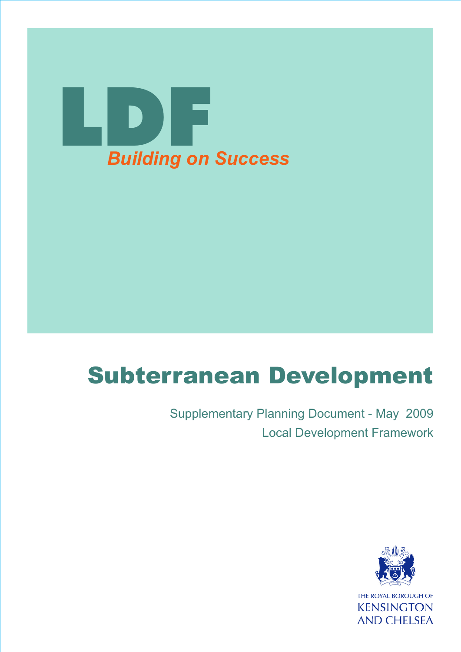

# Subterranean Development

Supplementary Planning Document - May 2009 Local Development Framework

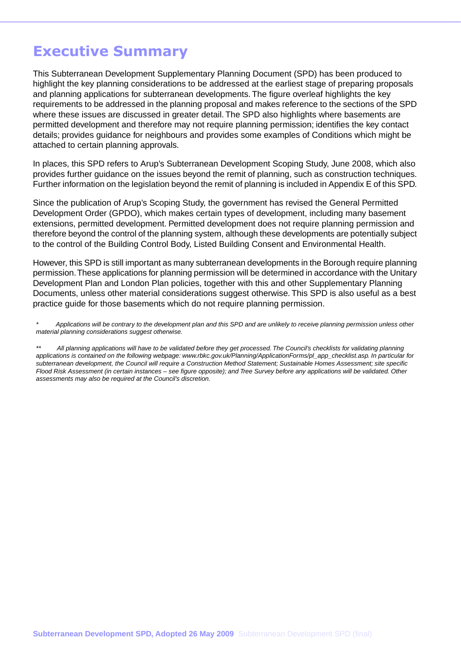## **Executive Summary**

This Subterranean Development Supplementary Planning Document (SPD) has been produced to highlight the key planning considerations to be addressed at the earliest stage of preparing proposals and planning applications for subterranean developments. The figure overleaf highlights the key requirements to be addressed in the planning proposal and makes reference to the sections of the SPD where these issues are discussed in greater detail. The SPD also highlights where basements are permitted development and therefore may not require planning permission; identifies the key contact details; provides guidance for neighbours and provides some examples of Conditions which might be attached to certain planning approvals.

In places, this SPD refers to Arup's Subterranean Development Scoping Study, June 2008, which also provides further guidance on the issues beyond the remit of planning, such as construction techniques. Further information on the legislation beyond the remit of planning is included in Appendix E of this SPD.

Since the publication of Arup's Scoping Study, the government has revised the General Permitted Development Order (GPDO), which makes certain types of development, including many basement extensions, permitted development. Permitted development does not require planning permission and therefore beyond the control of the planning system, although these developments are potentially subject to the control of the Building Control Body, Listed Building Consent and Environmental Health.

However, this SPD is still important as many subterranean developments in the Borough require planning permission.These applications for planning permission will be determined in accordance with the Unitary Development Plan and London Plan policies, together with this and other Supplementary Planning Documents, unless other material considerations suggest otherwise. This SPD is also useful as a best practice guide for those basements which do not require planning permission.

*\* Applications will be contrary to the development plan and this SPD and are unlikely to receive planning permission unless other material planning considerations suggest otherwise.*

*\*\* All planning applications will have to be validated before they get processed. The Council's checklists for validating planning applications is contained on the following webpage: www.rbkc.gov.uk/Planning/ApplicationForms/pl\_app\_checklist.asp. In particular for subterranean development, the Council will require a Construction Method Statement; Sustainable Homes Assessment; site specific Flood Risk Assessment (in certain instances – see figure opposite); and Tree Survey before any applications will be validated. Other assessments may also be required at the Council's discretion.*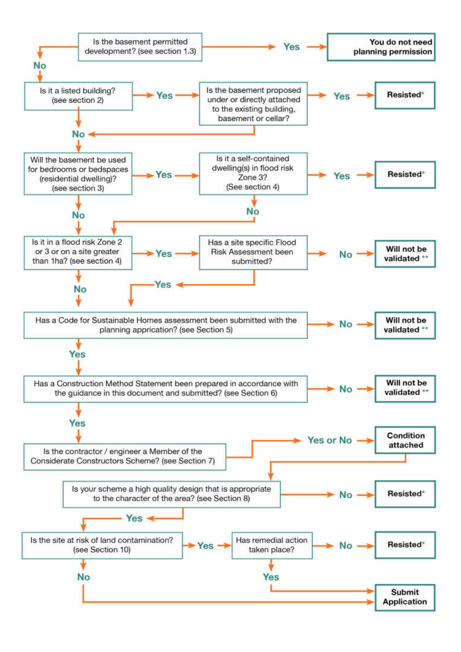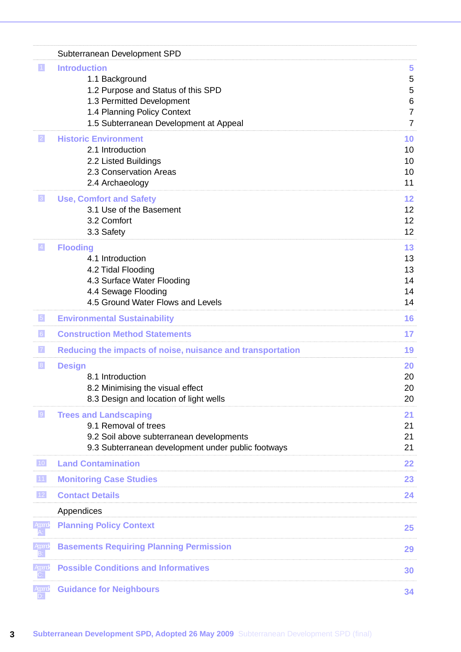|                 | Subterranean Development SPD                                                                                                                                                      |                                                      |
|-----------------|-----------------------------------------------------------------------------------------------------------------------------------------------------------------------------------|------------------------------------------------------|
| $\vert$ 1       | <b>Introduction</b><br>1.1 Background<br>1.2 Purpose and Status of this SPD<br>1.3 Permitted Development<br>1.4 Planning Policy Context<br>1.5 Subterranean Development at Appeal | 5<br>5<br>5<br>6<br>$\overline{7}$<br>$\overline{7}$ |
| 2               | <b>Historic Environment</b><br>2.1 Introduction<br>2.2 Listed Buildings<br>2.3 Conservation Areas<br>2.4 Archaeology                                                              | 10<br>10<br>10<br>10<br>11                           |
| 3               | <b>Use, Comfort and Safety</b><br>3.1 Use of the Basement<br>3.2 Comfort<br>3.3 Safety                                                                                            | 12<br>12<br>12<br>12                                 |
| $\vert 4 \vert$ | <b>Flooding</b><br>4.1 Introduction<br>4.2 Tidal Flooding<br>4.3 Surface Water Flooding<br>4.4 Sewage Flooding<br>4.5 Ground Water Flows and Levels                               | 13<br>13<br>13<br>14<br>14<br>14                     |
| $\vert 5 \vert$ | <b>Environmental Sustainability</b>                                                                                                                                               | 16                                                   |
| 6               | <b>Construction Method Statements</b>                                                                                                                                             | 17                                                   |
| 7               | Reducing the impacts of noise, nuisance and transportation                                                                                                                        | 19                                                   |
| 8               | <b>Design</b><br>8.1 Introduction<br>8.2 Minimising the visual effect<br>8.3 Design and location of light wells                                                                   | 20<br>20<br>20<br>20                                 |
| 9               | <b>Trees and Landscaping</b><br>9.1 Removal of trees<br>9.2 Soil above subterranean developments<br>9.3 Subterranean development under public footways                            | 21<br>21<br>21<br>21                                 |
| 10              | <b>Land Contamination</b>                                                                                                                                                         | 22                                                   |
| $11$            | <b>Monitoring Case Studies</b>                                                                                                                                                    | 23                                                   |
| $12$            | <b>Contact Details</b>                                                                                                                                                            | 24                                                   |
|                 | Appendices                                                                                                                                                                        |                                                      |
| Appendy         | <b>Planning Policy Context</b>                                                                                                                                                    | 25                                                   |
| Apard<br>B:     | <b>Basements Requiring Planning Permission</b>                                                                                                                                    | 29                                                   |
| Apend           | <b>Possible Conditions and Informatives</b>                                                                                                                                       | 30                                                   |
| Apend           | <b>Guidance for Neighbours</b>                                                                                                                                                    | 34                                                   |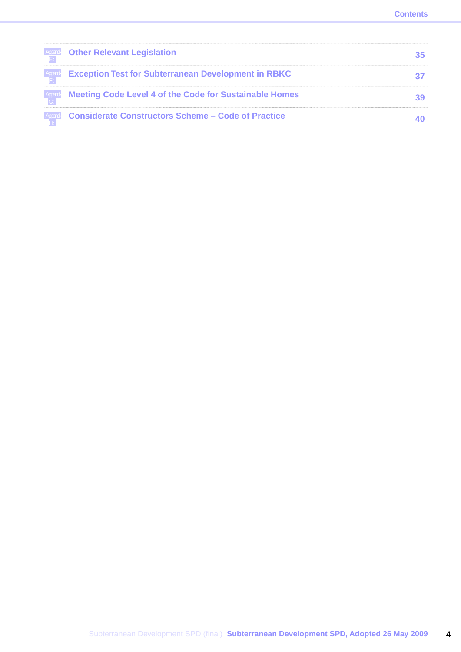| Apen! Other Relevant Legislation                                      |  |
|-----------------------------------------------------------------------|--|
| <b>Exception Test for Subterranean Development in RBKC</b>            |  |
| <b>Equiped Meeting Code Level 4 of the Code for Sustainable Homes</b> |  |
| <b>Apprel Considerate Constructors Scheme – Code of Practice</b>      |  |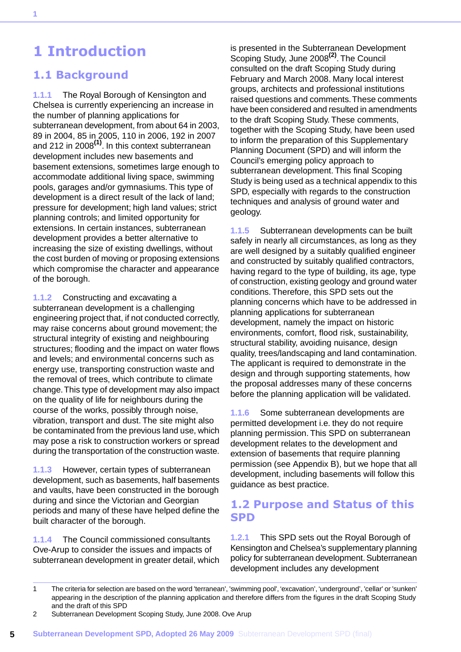## <span id="page-5-0"></span>**1 Introduction**

## <span id="page-5-1"></span>**1.1 Background**

**1.1.1** The Royal Borough of Kensington and Chelsea is currently experiencing an increase in the number of planning applications for subterranean development, from about 64 in 2003, 89 in 2004, 85 in 2005, 110 in 2006, 192 in 2007 and 212 in 2008**(1)** . In this context subterranean development includes new basements and basement extensions, sometimes large enough to accommodate additional living space, swimming pools, garages and/or gymnasiums. This type of development is a direct result of the lack of land; pressure for development; high land values; strict planning controls; and limited opportunity for extensions. In certain instances, subterranean development provides a better alternative to increasing the size of existing dwellings, without the cost burden of moving or proposing extensions which compromise the character and appearance of the borough.

**1.1.2** Constructing and excavating a subterranean development is a challenging engineering project that, if not conducted correctly, may raise concerns about ground movement; the structural integrity of existing and neighbouring structures; flooding and the impact on water flows and levels; and environmental concerns such as energy use, transporting construction waste and the removal of trees, which contribute to climate change.This type of development may also impact on the quality of life for neighbours during the course of the works, possibly through noise, vibration, transport and dust. The site might also be contaminated from the previous land use, which may pose a risk to construction workers or spread during the transportation of the construction waste.

**1.1.3** However, certain types of subterranean development, such as basements, half basements and vaults, have been constructed in the borough during and since the Victorian and Georgian periods and many of these have helped define the built character of the borough.

**1.1.4** The Council commissioned consultants Ove-Arup to consider the issues and impacts of subterranean development in greater detail, which

is presented in the Subterranean Development Scoping Study, June 2008**(2)** . The Council consulted on the draft Scoping Study during February and March 2008. Many local interest groups, architects and professional institutions raised questions and comments.These comments have been considered and resulted in amendments to the draft Scoping Study. These comments, together with the Scoping Study, have been used to inform the preparation of this Supplementary Planning Document (SPD) and will inform the Council's emerging policy approach to subterranean development. This final Scoping Study is being used as a technical appendix to this SPD, especially with regards to the construction techniques and analysis of ground water and geology.

**1.1.5** Subterranean developments can be built safely in nearly all circumstances, as long as they are well designed by a suitably qualified engineer and constructed by suitably qualified contractors, having regard to the type of building, its age, type of construction, existing geology and ground water conditions. Therefore, this SPD sets out the planning concerns which have to be addressed in planning applications for subterranean development, namely the impact on historic environments, comfort, flood risk, sustainability, structural stability, avoiding nuisance, design quality, trees/landscaping and land contamination. The applicant is required to demonstrate in the design and through supporting statements, how the proposal addresses many of these concerns before the planning application will be validated.

<span id="page-5-2"></span>**1.1.6** Some subterranean developments are permitted development i.e. they do not require planning permission. This SPD on subterranean development relates to the development and extension of basements that require planning permission (see Appendix B), but we hope that all development, including basements will follow this guidance as best practice.

### **1.2 Purpose and Status of this SPD**

**1.2.1** This SPD sets out the Royal Borough of Kensington and Chelsea's supplementary planning policy for subterranean development. Subterranean development includes any development

<sup>1</sup> The criteria for selection are based on the word 'terranean', 'swimming pool', 'excavation', 'underground', 'cellar' or 'sunken' appearing in the description of the planning application and therefore differs from the figures in the draft Scoping Study and the draft of this SPD

<sup>2</sup> Subterranean Development Scoping Study, June 2008. Ove Arup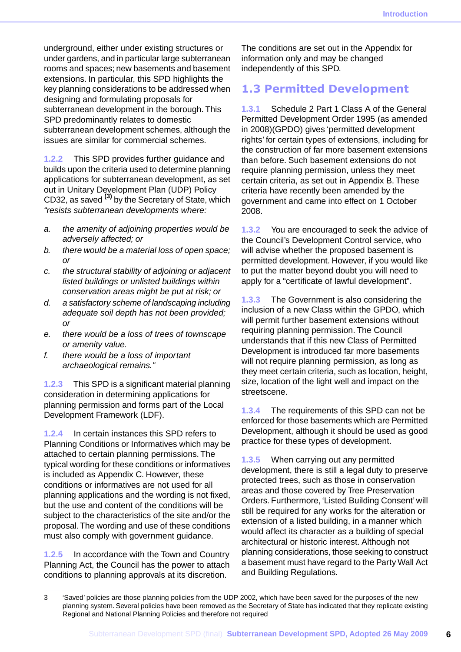underground, either under existing structures or under gardens, and in particular large subterranean rooms and spaces; new basements and basement extensions. In particular, this SPD highlights the key planning considerations to be addressed when designing and formulating proposals for subterranean development in the borough. This SPD predominantly relates to domestic subterranean development schemes, although the issues are similar for commercial schemes.

**1.2.2** This SPD provides further guidance and builds upon the criteria used to determine planning applications for subterranean development, as set out in Unitary Development Plan (UDP) Policy CD32, as saved **(3)** by the Secretary of State, which *"resists subterranean developments where:*

- *a. the amenity of adjoining properties would be adversely affected; or*
- *b. there would be a material loss of open space; or*
- *c. the structural stability of adjoining or adjacent listed buildings or unlisted buildings within conservation areas might be put at risk; or*
- *d. a satisfactory scheme of landscaping including adequate soil depth has not been provided; or*
- *e. there would be a loss of trees of townscape or amenity value.*
- *f. there would be a loss of important archaeological remains."*

**1.2.3** This SPD is a significant material planning consideration in determining applications for planning permission and forms part of the Local Development Framework (LDF).

**1.2.4** In certain instances this SPD refers to Planning Conditions or Informatives which may be attached to certain planning permissions. The typical wording for these conditions or informatives is included as Appendix C. However, these conditions or informatives are not used for all planning applications and the wording is not fixed, but the use and content of the conditions will be subject to the characteristics of the site and/or the proposal.The wording and use of these conditions must also comply with government guidance.

**1.2.5** In accordance with the Town and Country Planning Act, the Council has the power to attach conditions to planning approvals at its discretion.

The conditions are set out in the Appendix for information only and may be changed independently of this SPD.

### <span id="page-6-0"></span>**1.3 Permitted Development**

**1.3.1** Schedule 2 Part 1 Class A of the General Permitted Development Order 1995 (as amended in 2008)(GPDO) gives 'permitted development rights' for certain types of extensions, including for the construction of far more basement extensions than before. Such basement extensions do not require planning permission, unless they meet certain criteria, as set out in Appendix B. These criteria have recently been amended by the government and came into effect on 1 October 2008.

**1.3.2** You are encouraged to seek the advice of the Council's Development Control service, who will advise whether the proposed basement is permitted development. However, if you would like to put the matter beyond doubt you will need to apply for a "certificate of lawful development".

**1.3.3** The Government is also considering the inclusion of a new Class within the GPDO, which will permit further basement extensions without requiring planning permission. The Council understands that if this new Class of Permitted Development is introduced far more basements will not require planning permission, as long as they meet certain criteria, such as location, height, size, location of the light well and impact on the streetscene.

**1.3.4** The requirements of this SPD can not be enforced for those basements which are Permitted Development, although it should be used as good practice for these types of development.

**1.3.5** When carrying out any permitted development, there is still a legal duty to preserve protected trees, such as those in conservation areas and those covered by Tree Preservation Orders. Furthermore, 'Listed Building Consent' will still be required for any works for the alteration or extension of a listed building, in a manner which would affect its character as a building of special architectural or historic interest. Although not planning considerations, those seeking to construct a basement must have regard to the Party Wall Act and Building Regulations.

<sup>3</sup> 'Saved' policies are those planning policies from the UDP 2002, which have been saved for the purposes of the new planning system. Several policies have been removed as the Secretary of State has indicated that they replicate existing Regional and National Planning Policies and therefore not required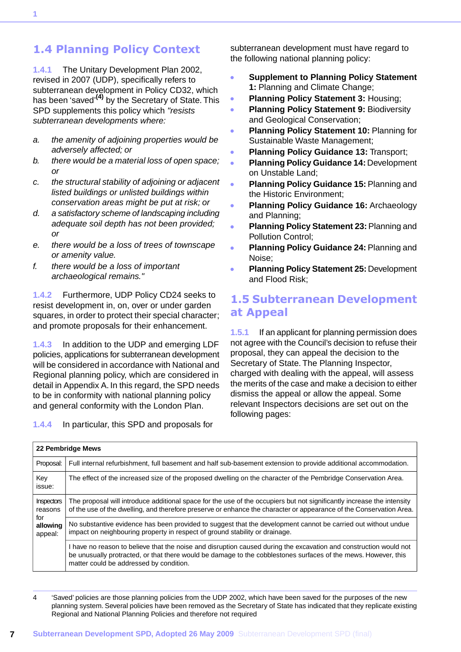## <span id="page-7-0"></span>**1.4 Planning Policy Context**

**1.4.1** The Unitary Development Plan 2002, revised in 2007 (UDP), specifically refers to subterranean development in Policy CD32, which has been 'saved' **(4)** by the Secretary of State. This SPD supplements this policy which *"resists subterranean developments where:*

- *a. the amenity of adjoining properties would be adversely affected; or*
- *b. there would be a material loss of open space; or*
- *c. the structural stability of adjoining or adjacent listed buildings or unlisted buildings within conservation areas might be put at risk; or*
- *d. a satisfactory scheme of landscaping including adequate soil depth has not been provided; or*
- *e. there would be a loss of trees of townscape or amenity value.*
- *f. there would be a loss of important archaeological remains."*

**1.4.2** Furthermore, UDP Policy CD24 seeks to resist development in, on, over or under garden squares, in order to protect their special character; and promote proposals for their enhancement.

**1.4.3** In addition to the UDP and emerging LDF policies, applications for subterranean development will be considered in accordance with National and Regional planning policy, which are considered in detail in Appendix A. In this regard, the SPD needs to be in conformity with national planning policy and general conformity with the London Plan.

**1.4.4** In particular, this SPD and proposals for

subterranean development must have regard to the following national planning policy:

- **Supplement to Planning Policy Statement**  $\bullet$ **1:** Planning and Climate Change;
- **Planning Policy Statement 3:** Housing;
- **Planning Policy Statement 9:** Biodiversity ä and Geological Conservation;
- **Planning Policy Statement 10:** Planning for ò Sustainable Waste Management;
- **Planning Policy Guidance 13:** Transport;
- **Planning Policy Guidance 14:** Development ä on Unstable Land;
- **Planning Policy Guidance 15:** Planning and  $\overline{\phantom{a}}$ the Historic Environment;
- **Planning Policy Guidance 16:** Archaeology and Planning;
- **Planning Policy Statement 23: Planning and** Pollution Control;
- **Planning Policy Guidance 24:** Planning and Noise;
- <span id="page-7-1"></span>**Planning Policy Statement 25:** Development ä and Flood Risk;

### **1.5 Subterranean Development at Appeal**

**1.5.1** If an applicant for planning permission does not agree with the Council's decision to refuse their proposal, they can appeal the decision to the Secretary of State. The Planning Inspector, charged with dealing with the appeal, will assess the merits of the case and make a decision to either dismiss the appeal or allow the appeal. Some relevant Inspectors decisions are set out on the following pages:

|                                                     | 22 Pembridge Mews                                                                                                                                                                                                                                                              |
|-----------------------------------------------------|--------------------------------------------------------------------------------------------------------------------------------------------------------------------------------------------------------------------------------------------------------------------------------|
| Proposal:                                           | Full internal refurbishment, full basement and half sub-basement extension to provide additional accommodation.                                                                                                                                                                |
| Key<br>issue:                                       | The effect of the increased size of the proposed dwelling on the character of the Pembridge Conservation Area.                                                                                                                                                                 |
| Inspectors<br>reasons<br>for<br>allowing<br>appeal: | The proposal will introduce additional space for the use of the occupiers but not significantly increase the intensity<br>of the use of the dwelling, and therefore preserve or enhance the character or appearance of the Conservation Area.                                  |
|                                                     | No substantive evidence has been provided to suggest that the development cannot be carried out without undue<br>impact on neighbouring property in respect of ground stability or drainage.                                                                                   |
|                                                     | I have no reason to believe that the noise and disruption caused during the excavation and construction would not<br>be unusually protracted, or that there would be damage to the cobblestones surfaces of the mews. However, this<br>matter could be addressed by condition. |

4 'Saved' policies are those planning policies from the UDP 2002, which have been saved for the purposes of the new planning system. Several policies have been removed as the Secretary of State has indicated that they replicate existing Regional and National Planning Policies and therefore not required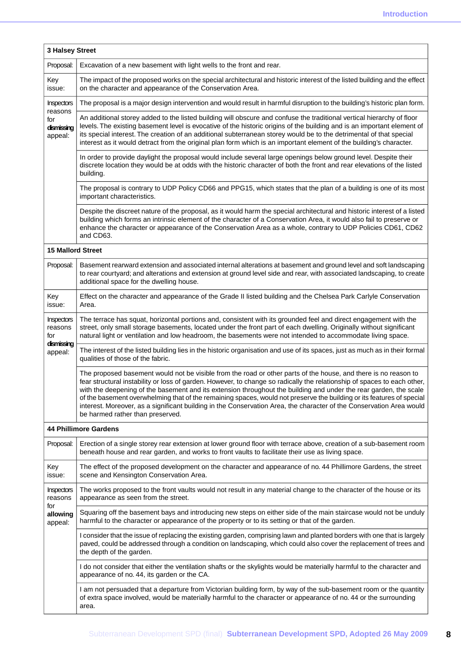| 3 Halsey Street                         |                                                                                                                                                                                                                                                                                                                                                                                                                                                                                                                                                                                                                                                       |  |  |  |
|-----------------------------------------|-------------------------------------------------------------------------------------------------------------------------------------------------------------------------------------------------------------------------------------------------------------------------------------------------------------------------------------------------------------------------------------------------------------------------------------------------------------------------------------------------------------------------------------------------------------------------------------------------------------------------------------------------------|--|--|--|
| Proposal:                               | Excavation of a new basement with light wells to the front and rear.                                                                                                                                                                                                                                                                                                                                                                                                                                                                                                                                                                                  |  |  |  |
| Key<br>issue:                           | The impact of the proposed works on the special architectural and historic interest of the listed building and the effect<br>on the character and appearance of the Conservation Area.                                                                                                                                                                                                                                                                                                                                                                                                                                                                |  |  |  |
| Inspectors                              | The proposal is a major design intervention and would result in harmful disruption to the building's historic plan form.                                                                                                                                                                                                                                                                                                                                                                                                                                                                                                                              |  |  |  |
| reasons<br>for<br>dismissing<br>appeal: | An additional storey added to the listed building will obscure and confuse the traditional vertical hierarchy of floor<br>levels. The existing basement level is evocative of the historic origins of the building and is an important element of<br>its special interest. The creation of an additional subterranean storey would be to the detrimental of that special<br>interest as it would detract from the original plan form which is an important element of the building's character.                                                                                                                                                       |  |  |  |
|                                         | In order to provide daylight the proposal would include several large openings below ground level. Despite their<br>discrete location they would be at odds with the historic character of both the front and rear elevations of the listed<br>building.                                                                                                                                                                                                                                                                                                                                                                                              |  |  |  |
|                                         | The proposal is contrary to UDP Policy CD66 and PPG15, which states that the plan of a building is one of its most<br>important characteristics.                                                                                                                                                                                                                                                                                                                                                                                                                                                                                                      |  |  |  |
|                                         | Despite the discreet nature of the proposal, as it would harm the special architectural and historic interest of a listed<br>building which forms an intrinsic element of the character of a Conservation Area, it would also fail to preserve or<br>enhance the character or appearance of the Conservation Area as a whole, contrary to UDP Policies CD61, CD62<br>and CD63.                                                                                                                                                                                                                                                                        |  |  |  |
| <b>15 Mallord Street</b>                |                                                                                                                                                                                                                                                                                                                                                                                                                                                                                                                                                                                                                                                       |  |  |  |
| Proposal:                               | Basement rearward extension and associated internal alterations at basement and ground level and soft landscaping<br>to rear courtyard; and alterations and extension at ground level side and rear, with associated landscaping, to create<br>additional space for the dwelling house.                                                                                                                                                                                                                                                                                                                                                               |  |  |  |
| Key<br>issue:                           | Effect on the character and appearance of the Grade II listed building and the Chelsea Park Carlyle Conservation<br>Area.                                                                                                                                                                                                                                                                                                                                                                                                                                                                                                                             |  |  |  |
| Inspectors<br>reasons<br>for            | The terrace has squat, horizontal portions and, consistent with its grounded feel and direct engagement with the<br>street, only small storage basements, located under the front part of each dwelling. Originally without significant<br>natural light or ventilation and low headroom, the basements were not intended to accommodate living space.                                                                                                                                                                                                                                                                                                |  |  |  |
| dismissing<br>appeal:                   | The interest of the listed building lies in the historic organisation and use of its spaces, just as much as in their formal<br>qualities of those of the fabric.                                                                                                                                                                                                                                                                                                                                                                                                                                                                                     |  |  |  |
|                                         | The proposed basement would not be visible from the road or other parts of the house, and there is no reason to<br>fear structural instability or loss of garden. However, to change so radically the relationship of spaces to each other,<br>with the deepening of the basement and its extension throughout the building and under the rear garden, the scale<br>of the basement overwhelming that of the remaining spaces, would not preserve the building or its features of special<br>interest. Moreover, as a significant building in the Conservation Area, the character of the Conservation Area would<br>be harmed rather than preserved. |  |  |  |
|                                         | <b>44 Phillimore Gardens</b>                                                                                                                                                                                                                                                                                                                                                                                                                                                                                                                                                                                                                          |  |  |  |
| Proposal:                               | Erection of a single storey rear extension at lower ground floor with terrace above, creation of a sub-basement room<br>beneath house and rear garden, and works to front vaults to facilitate their use as living space.                                                                                                                                                                                                                                                                                                                                                                                                                             |  |  |  |
| Key<br>issue:                           | The effect of the proposed development on the character and appearance of no. 44 Phillimore Gardens, the street<br>scene and Kensington Conservation Area.                                                                                                                                                                                                                                                                                                                                                                                                                                                                                            |  |  |  |
| Inspectors<br>reasons<br>for            | The works proposed to the front vaults would not result in any material change to the character of the house or its<br>appearance as seen from the street.                                                                                                                                                                                                                                                                                                                                                                                                                                                                                            |  |  |  |
| allowing<br>appeal:                     | Squaring off the basement bays and introducing new steps on either side of the main staircase would not be unduly<br>harmful to the character or appearance of the property or to its setting or that of the garden.                                                                                                                                                                                                                                                                                                                                                                                                                                  |  |  |  |
|                                         | I consider that the issue of replacing the existing garden, comprising lawn and planted borders with one that is largely<br>paved, could be addressed through a condition on landscaping, which could also cover the replacement of trees and<br>the depth of the garden.                                                                                                                                                                                                                                                                                                                                                                             |  |  |  |
|                                         | I do not consider that either the ventilation shafts or the skylights would be materially harmful to the character and<br>appearance of no. 44, its garden or the CA.                                                                                                                                                                                                                                                                                                                                                                                                                                                                                 |  |  |  |
|                                         | I am not persuaded that a departure from Victorian building form, by way of the sub-basement room or the quantity<br>of extra space involved, would be materially harmful to the character or appearance of no. 44 or the surrounding<br>area.                                                                                                                                                                                                                                                                                                                                                                                                        |  |  |  |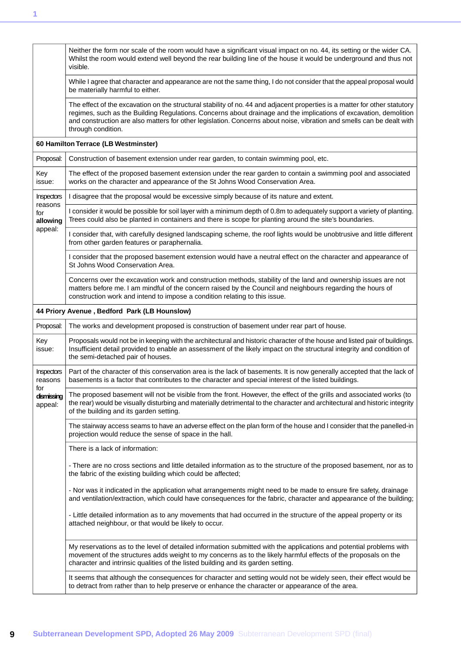|                              | Neither the form nor scale of the room would have a significant visual impact on no. 44, its setting or the wider CA.<br>Whilst the room would extend well beyond the rear building line of the house it would be underground and thus not<br>visible.                                                                                                                                         |
|------------------------------|------------------------------------------------------------------------------------------------------------------------------------------------------------------------------------------------------------------------------------------------------------------------------------------------------------------------------------------------------------------------------------------------|
|                              | While I agree that character and appearance are not the same thing, I do not consider that the appeal proposal would<br>be materially harmful to either.                                                                                                                                                                                                                                       |
|                              | The effect of the excavation on the structural stability of no. 44 and adjacent properties is a matter for other statutory<br>regimes, such as the Building Regulations. Concerns about drainage and the implications of excavation, demolition<br>and construction are also matters for other legislation. Concerns about noise, vibration and smells can be dealt with<br>through condition. |
|                              | 60 Hamilton Terrace (LB Westminster)                                                                                                                                                                                                                                                                                                                                                           |
| Proposal:                    | Construction of basement extension under rear garden, to contain swimming pool, etc.                                                                                                                                                                                                                                                                                                           |
| Key<br>issue:                | The effect of the proposed basement extension under the rear garden to contain a swimming pool and associated<br>works on the character and appearance of the St Johns Wood Conservation Area.                                                                                                                                                                                                 |
| Inspectors                   | I disagree that the proposal would be excessive simply because of its nature and extent.                                                                                                                                                                                                                                                                                                       |
| reasons<br>for<br>allowing   | I consider it would be possible for soil layer with a minimum depth of 0.8m to adequately support a variety of planting.<br>Trees could also be planted in containers and there is scope for planting around the site's boundaries.                                                                                                                                                            |
| appeal:                      | I consider that, with carefully designed landscaping scheme, the roof lights would be unobtrusive and little different<br>from other garden features or paraphernalia.                                                                                                                                                                                                                         |
|                              | I consider that the proposed basement extension would have a neutral effect on the character and appearance of<br>St Johns Wood Conservation Area.                                                                                                                                                                                                                                             |
|                              | Concerns over the excavation work and construction methods, stability of the land and ownership issues are not<br>matters before me. I am mindful of the concern raised by the Council and neighbours regarding the hours of<br>construction work and intend to impose a condition relating to this issue.                                                                                     |
|                              | 44 Priory Avenue, Bedford Park (LB Hounslow)                                                                                                                                                                                                                                                                                                                                                   |
| Proposal:                    | The works and development proposed is construction of basement under rear part of house.                                                                                                                                                                                                                                                                                                       |
| Key<br>issue:                | Proposals would not be in keeping with the architectural and historic character of the house and listed pair of buildings.<br>Insufficient detail provided to enable an assessment of the likely impact on the structural integrity and condition of<br>the semi-detached pair of houses.                                                                                                      |
| <b>Inspectors</b><br>reasons | Part of the character of this conservation area is the lack of basements. It is now generally accepted that the lack of<br>basements is a factor that contributes to the character and special interest of the listed buildings.                                                                                                                                                               |
| for<br>dismissing<br>appeal: | The proposed basement will not be visible from the front. However, the effect of the grills and associated works (to<br>the rear) would be visually disturbing and materially detrimental to the character and architectural and historic integrity<br>of the building and its garden setting.                                                                                                 |
|                              | The stairway access seams to have an adverse effect on the plan form of the house and I consider that the panelled-in<br>projection would reduce the sense of space in the hall.                                                                                                                                                                                                               |
|                              | There is a lack of information:                                                                                                                                                                                                                                                                                                                                                                |
|                              | - There are no cross sections and little detailed information as to the structure of the proposed basement, nor as to<br>the fabric of the existing building which could be affected;                                                                                                                                                                                                          |
|                              | - Nor was it indicated in the application what arrangements might need to be made to ensure fire safety, drainage<br>and ventilation/extraction, which could have consequences for the fabric, character and appearance of the building;                                                                                                                                                       |
|                              | - Little detailed information as to any movements that had occurred in the structure of the appeal property or its<br>attached neighbour, or that would be likely to occur.                                                                                                                                                                                                                    |
|                              | My reservations as to the level of detailed information submitted with the applications and potential problems with<br>movement of the structures adds weight to my concerns as to the likely harmful effects of the proposals on the<br>character and intrinsic qualities of the listed building and its garden setting.                                                                      |
|                              | It seems that although the consequences for character and setting would not be widely seen, their effect would be<br>to detract from rather than to help preserve or enhance the character or appearance of the area.                                                                                                                                                                          |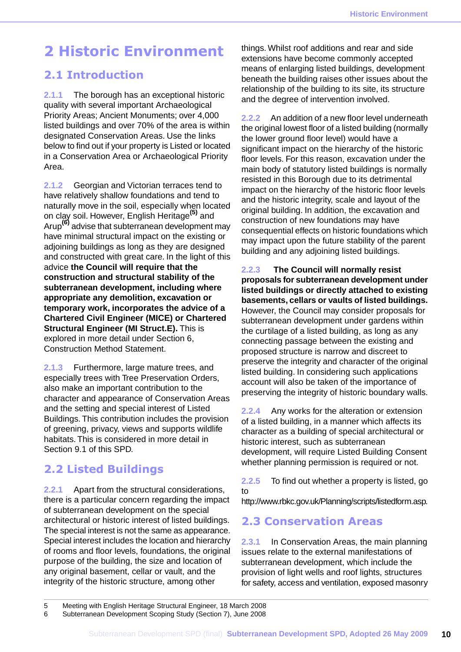## <span id="page-10-0"></span>**2 Historic Environment**

### <span id="page-10-1"></span>**2.1 Introduction**

**2.1.1** The borough has an exceptional historic quality with several important Archaeological Priority Areas; Ancient Monuments; over 4,000 listed buildings and over 70% of the area is within designated Conservation Areas. Use the links below to find out if your property is Listed or located in a Conservation Area or Archaeological Priority Area.

**2.1.2** Georgian and Victorian terraces tend to have relatively shallow foundations and tend to naturally move in the soil, especially when located on clay soil. However, English Heritage**(5)** and Arup**(6)** advise that subterranean development may have minimal structural impact on the existing or adjoining buildings as long as they are designed and constructed with great care. In the light of this advice **the Council will require that the construction and structural stability of the subterranean development, including where appropriate any demolition, excavation or temporary work, incorporates the advice of a Chartered Civil Engineer (MICE) or Chartered Structural Engineer (MI Struct.E).** This is explored in more detail under Section 6, Construction Method Statement.

**2.1.3** Furthermore, large mature trees, and especially trees with Tree Preservation Orders, also make an important contribution to the character and appearance of Conservation Areas and the setting and special interest of Listed Buildings. This contribution includes the provision of greening, privacy, views and supports wildlife habitats. This is considered in more detail in Section 9.1 of this SPD.

### <span id="page-10-2"></span>**2.2 Listed Buildings**

**2.2.1** Apart from the structural considerations, there is a particular concern regarding the impact of subterranean development on the special architectural or historic interest of listed buildings. The special interest is not the same as appearance. Special interest includes the location and hierarchy of rooms and floor levels, foundations, the original purpose of the building, the size and location of any original basement, cellar or vault, and the integrity of the historic structure, among other

things. Whilst roof additions and rear and side extensions have become commonly accepted means of enlarging listed buildings, development beneath the building raises other issues about the relationship of the building to its site, its structure and the degree of intervention involved.

**2.2.2** An addition of a new floor level underneath the original lowest floor of a listed building (normally the lower ground floor level) would have a significant impact on the hierarchy of the historic floor levels. For this reason, excavation under the main body of statutory listed buildings is normally resisted in this Borough due to its detrimental impact on the hierarchy of the historic floor levels and the historic integrity, scale and layout of the original building. In addition, the excavation and construction of new foundations may have consequential effects on historic foundations which may impact upon the future stability of the parent building and any adjoining listed buildings.

**2.2.3 The Council will normally resist proposals for subterranean development under listed buildings or directly attached to existing basements, cellars or vaults of listed buildings.** However, the Council may consider proposals for subterranean development under gardens within the curtilage of a listed building, as long as any connecting passage between the existing and proposed structure is narrow and discreet to preserve the integrity and character of the original listed building. In considering such applications account will also be taken of the importance of preserving the integrity of historic boundary walls.

**2.2.4** Any works for the alteration or extension of a listed building, in a manner which affects its character as a building of special architectural or historic interest, such as subterranean development, will require Listed Building Consent whether planning permission is required or not.

<span id="page-10-3"></span>**2.2.5** To find out whether a property is listed, go to

http://www.rbkc.gov.uk/Planning/scripts/listedform.asp.

### **2.3 Conservation Areas**

**2.3.1** In Conservation Areas, the main planning issues relate to the external manifestations of subterranean development, which include the provision of light wells and roof lights, structures for safety, access and ventilation, exposed masonry

<sup>5</sup> Meeting with English Heritage Structural Engineer, 18 March 2008

<sup>6</sup> Subterranean Development Scoping Study (Section 7), June 2008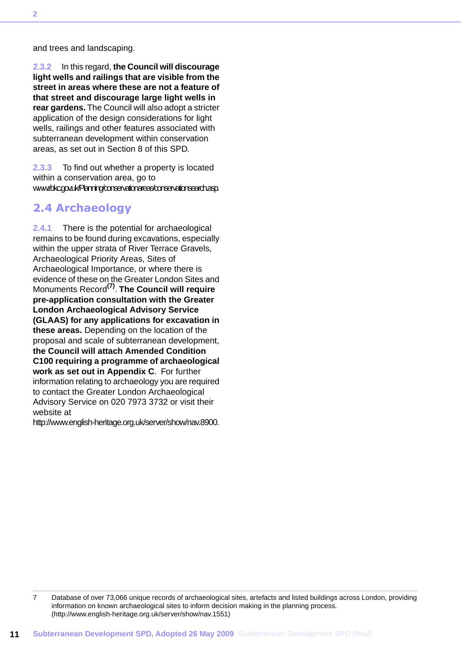and trees and landscaping.

**2.3.2** In this regard, **the Council will discourage light wells and railings that are visible from the street in areas where these are not a feature of that street and discourage large light wells in rear gardens.** The Council will also adopt a stricter application of the design considerations for light wells, railings and other features associated with subterranean development within conservation areas, as set out in Section 8 of this SPD.

<span id="page-11-0"></span>**2.3.3** To find out whether a property is located within a conservation area, go to www.rbkc.gov.uk/Planning/conservationareas/conservationsearch.asp.

### **2.4 Archaeology**

**2.4.1** There is the potential for archaeological remains to be found during excavations, especially within the upper strata of River Terrace Gravels, Archaeological Priority Areas, Sites of Archaeological Importance, or where there is evidence of these on the Greater London Sites and Monuments Record**(7)** . **The Council will require pre-application consultation with the Greater London Archaeological Advisory Service (GLAAS) for any applications for excavation in these areas.** Depending on the location of the proposal and scale of subterranean development, **the Council will attach Amended Condition C100 requiring a programme of archaeological work as set out in Appendix C**. For further information relating to archaeology you are required to contact the Greater London Archaeological Advisory Service on 020 7973 3732 or visit their website at

http://www.english-heritage.org.uk/server/show/nav.8900.

<sup>7</sup> Database of over 73,066 unique records of archaeological sites, artefacts and listed buildings across London, providing information on known archaeological sites to inform decision making in the planning process. (http://www.english-heritage.org.uk/server/show/nav.1551)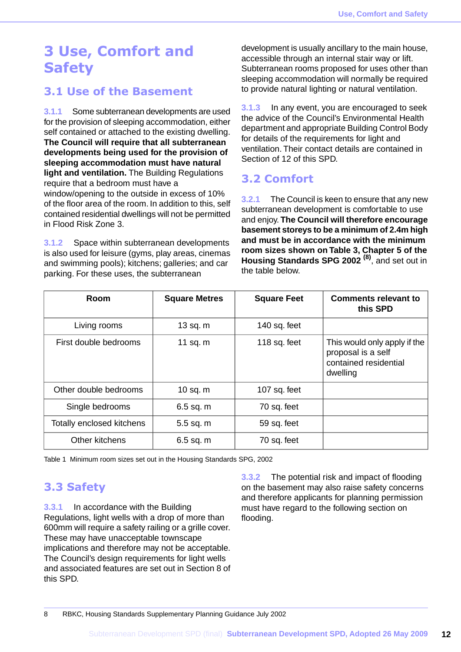## <span id="page-12-0"></span>**3 Use, Comfort and Safety**

### <span id="page-12-1"></span>**3.1 Use of the Basement**

**3.1.1** Some subterranean developments are used for the provision of sleeping accommodation, either self contained or attached to the existing dwelling. **The Council will require that all subterranean developments being used for the provision of sleeping accommodation must have natural light and ventilation.** The Building Regulations require that a bedroom must have a window/opening to the outside in excess of 10% of the floor area of the room. In addition to this, self contained residential dwellings will not be permitted in Flood Risk Zone 3.

**3.1.2** Space within subterranean developments is also used for leisure (gyms, play areas, cinemas and swimming pools); kitchens; galleries; and car parking. For these uses, the subterranean

development is usually ancillary to the main house, accessible through an internal stair way or lift. Subterranean rooms proposed for uses other than sleeping accommodation will normally be required to provide natural lighting or natural ventilation.

**3.1.3** In any event, you are encouraged to seek the advice of the Council's Environmental Health department and appropriate Building Control Body for details of the requirements for light and ventilation. Their contact details are contained in Section of 12 of this SPD.

## <span id="page-12-2"></span>**3.2 Comfort**

**3.2.1** The Council is keen to ensure that any new subterranean development is comfortable to use and enjoy. **The Council will therefore encourage basement storeys to be a minimum of 2.4m high and must be in accordance with the minimum room sizes shown on Table 3, Chapter 5 of the Housing Standards SPG 2002 (8)**, and set out in the table below.

| Room                      | <b>Square Metres</b> | <b>Square Feet</b> | <b>Comments relevant to</b><br>this SPD                                                 |
|---------------------------|----------------------|--------------------|-----------------------------------------------------------------------------------------|
| Living rooms              | $13$ sq. m           | 140 sq. feet       |                                                                                         |
| First double bedrooms     | 11 sq. $m$           | 118 sq. feet       | This would only apply if the<br>proposal is a self<br>contained residential<br>dwelling |
| Other double bedrooms     | 10 sq. $m$           | 107 sq. feet       |                                                                                         |
| Single bedrooms           | $6.5$ sq. m          | 70 sq. feet        |                                                                                         |
| Totally enclosed kitchens | $5.5$ sq. m          | 59 sq. feet        |                                                                                         |
| Other kitchens            | $6.5$ sq. m          | 70 sq. feet        |                                                                                         |

<span id="page-12-3"></span>Table 1 Minimum room sizes set out in the Housing Standards SPG, 2002

## **3.3 Safety**

**3.3.1** In accordance with the Building Regulations, light wells with a drop of more than 600mm will require a safety railing or a grille cover. These may have unacceptable townscape implications and therefore may not be acceptable. The Council's design requirements for light wells and associated features are set out in Section 8 of this SPD.

**3.3.2** The potential risk and impact of flooding on the basement may also raise safety concerns and therefore applicants for planning permission must have regard to the following section on flooding.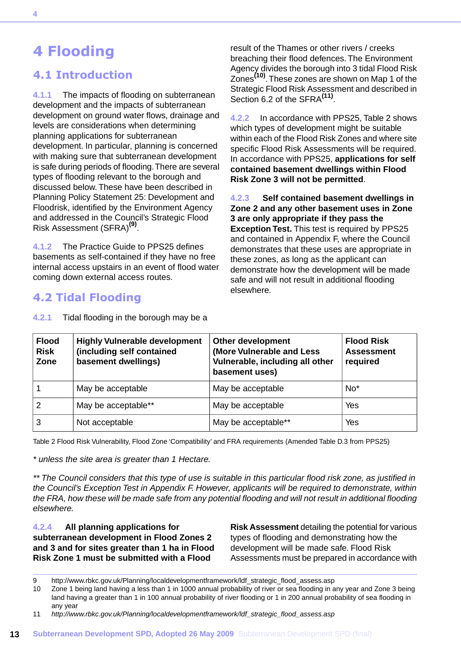## <span id="page-13-0"></span>**4 Flooding**

### <span id="page-13-1"></span>**4.1 Introduction**

**4.1.1** The impacts of flooding on subterranean development and the impacts of subterranean development on ground water flows, drainage and levels are considerations when determining planning applications for subterranean development. In particular, planning is concerned with making sure that subterranean development is safe during periods of flooding.There are several types of flooding relevant to the borough and discussed below. These have been described in Planning Policy Statement 25: Development and Floodrisk, identified by the Environment Agency and addressed in the Council's Strategic Flood Risk Assessment (SFRA)**(9)** .

<span id="page-13-2"></span>**4.1.2** The Practice Guide to PPS25 defines basements as self-contained if they have no free internal access upstairs in an event of flood water coming down external access routes.

### **4.2 Tidal Flooding**

result of the Thames or other rivers / creeks breaching their flood defences. The Environment Agency divides the borough into 3 tidal Flood Risk Zones**(10)** .These zones are shown on Map 1 of the Strategic Flood Risk Assessment and described in Section 6.2 of the SFRA<sup>(11)</sup>.

**4.2.2** In accordance with PPS25, Table 2 shows which types of development might be suitable within each of the Flood Risk Zones and where site specific Flood Risk Assessments will be required. In accordance with PPS25, **applications for self contained basement dwellings within Flood Risk Zone 3 will not be permitted**.

**4.2.3 Self contained basement dwellings in Zone 2 and any other basement uses in Zone 3 are only appropriate if they pass the Exception Test.** This test is required by PPS25 and contained in Appendix F, where the Council demonstrates that these uses are appropriate in these zones, as long as the applicant can demonstrate how the development will be made safe and will not result in additional flooding elsewhere.

| <b>Flood</b><br><b>Risk</b><br>Zone | <b>Highly Vulnerable development</b><br>(including self contained<br>basement dwellings) | <b>Other development</b><br>(More Vulnerable and Less<br>Vulnerable, including all other<br>basement uses) | <b>Flood Risk</b><br><b>Assessment</b><br>required |
|-------------------------------------|------------------------------------------------------------------------------------------|------------------------------------------------------------------------------------------------------------|----------------------------------------------------|
|                                     | May be acceptable                                                                        | May be acceptable                                                                                          | $No*$                                              |
|                                     | May be acceptable**                                                                      | May be acceptable                                                                                          | Yes                                                |
| 3                                   | Not acceptable                                                                           | May be acceptable**                                                                                        | Yes                                                |

**4.2.1** Tidal flooding in the borough may be a

Table 2 Flood Risk Vulnerability, Flood Zone 'Compatibility' and FRA requirements (Amended Table D.3 from PPS25)

*\* unless the site area is greater than 1 Hectare.*

*\*\* The Council considers that this type of use is suitable in this particular flood risk zone, as justified in the Council's Exception Test in Appendix F. However, applicants will be required to demonstrate, within the FRA, how these will be made safe from any potential flooding and will not result in additional flooding elsewhere.*

**4.2.4 All planning applications for subterranean development in Flood Zones 2 and 3 and for sites greater than 1 ha in Flood Risk Zone 1 must be submitted with a Flood**

**Risk Assessment** detailing the potential for various types of flooding and demonstrating how the development will be made safe. Flood Risk Assessments must be prepared in accordance with

<sup>9</sup> http://www.rbkc.gov.uk/Planning/localdevelopmentframework/ldf\_strategic\_flood\_assess.asp<br>10 Zone 1 being land having a less than 1 in 1000 annual probability of river or sea flooding in a

Zone 1 being land having a less than 1 in 1000 annual probability of river or sea flooding in any year and Zone 3 being land having a greater than 1 in 100 annual probability of river flooding or 1 in 200 annual probability of sea flooding in any year

<sup>11</sup> *http://www.rbkc.gov.uk/Planning/localdevelopmentframework/ldf\_strategic\_flood\_assess.asp*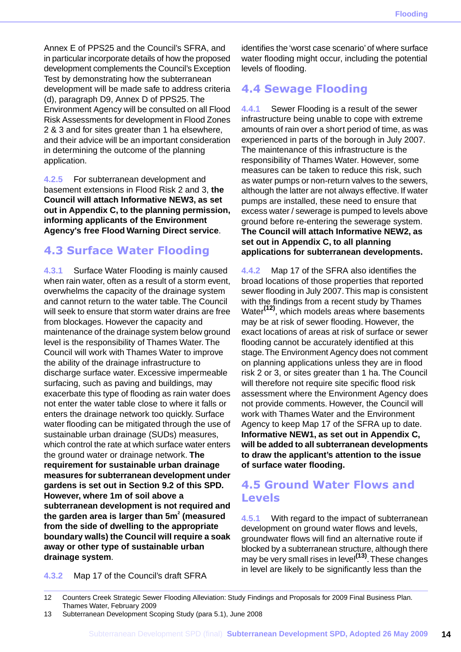Annex E of PPS25 and the Council's SFRA, and in particular incorporate details of how the proposed development complements the Council's Exception Test by demonstrating how the subterranean development will be made safe to address criteria (d), paragraph D9, Annex D of PPS25. The Environment Agency will be consulted on all Flood Risk Assessments for development in Flood Zones 2 & 3 and for sites greater than 1 ha elsewhere, and their advice will be an important consideration in determining the outcome of the planning application.

**4.2.5** For subterranean development and basement extensions in Flood Risk 2 and 3, **the Council will attach Informative NEW3, as set out in Appendix C, to the planning permission, informing applicants of the Environment Agency's free Flood Warning Direct service**.

### <span id="page-14-0"></span>**4.3 Surface Water Flooding**

**4.3.1** Surface Water Flooding is mainly caused when rain water, often as a result of a storm event, overwhelms the capacity of the drainage system and cannot return to the water table. The Council will seek to ensure that storm water drains are free from blockages. However the capacity and maintenance of the drainage system below ground level is the responsibility of Thames Water. The Council will work with Thames Water to improve the ability of the drainage infrastructure to discharge surface water. Excessive impermeable surfacing, such as paving and buildings, may exacerbate this type of flooding as rain water does not enter the water table close to where it falls or enters the drainage network too quickly. Surface water flooding can be mitigated through the use of sustainable urban drainage (SUDs) measures, which control the rate at which surface water enters the ground water or drainage network. **The requirement for sustainable urban drainage measures for subterranean development under gardens is set out in Section 9.2 of this SPD. However, where 1m of soil above a subterranean development is not required and the garden area is larger than 5m<sup>2</sup> (measured from the side of dwelling to the appropriate boundary walls) the Council will require a soak away or other type of sustainable urban drainage system**.

identifies the 'worst case scenario' of where surface water flooding might occur, including the potential levels of flooding.

## <span id="page-14-1"></span>**4.4 Sewage Flooding**

**4.4.1** Sewer Flooding is a result of the sewer infrastructure being unable to cope with extreme amounts of rain over a short period of time, as was experienced in parts of the borough in July 2007. The maintenance of this infrastructure is the responsibility of Thames Water. However, some measures can be taken to reduce this risk, such as water pumps or non-return valves to the sewers, although the latter are not always effective. If water pumps are installed, these need to ensure that excess water / sewerage is pumped to levels above ground before re-entering the sewerage system. **The Council will attach Informative NEW2, as set out in Appendix C, to all planning applications for subterranean developments.**

**4.4.2** Map 17 of the SFRA also identifies the broad locations of those properties that reported sewer flooding in July 2007.This map is consistent with the findings from a recent study by Thames Water**(12)**, which models areas where basements may be at risk of sewer flooding. However, the exact locations of areas at risk of surface or sewer flooding cannot be accurately identified at this stage.The Environment Agency does not comment on planning applications unless they are in flood risk 2 or 3, or sites greater than 1 ha. The Council will therefore not require site specific flood risk assessment where the Environment Agency does not provide comments. However, the Council will work with Thames Water and the Environment Agency to keep Map 17 of the SFRA up to date. **Informative NEW1, as set out in Appendix C, will be added to all subterranean developments to draw the applicant's attention to the issue of surface water flooding.**

### <span id="page-14-2"></span>**4.5 Ground Water Flows and Levels**

**4.5.1** With regard to the impact of subterranean development on ground water flows and levels, groundwater flows will find an alternative route if blocked by a subterranean structure, although there may be very small rises in level**(13)** .These changes in level are likely to be significantly less than the

**4.3.2** Map 17 of the Council's draft SFRA

<sup>12</sup> Counters Creek Strategic Sewer Flooding Alleviation: Study Findings and Proposals for 2009 Final Business Plan. Thames Water, February 2009

<sup>13</sup> Subterranean Development Scoping Study (para 5.1), June 2008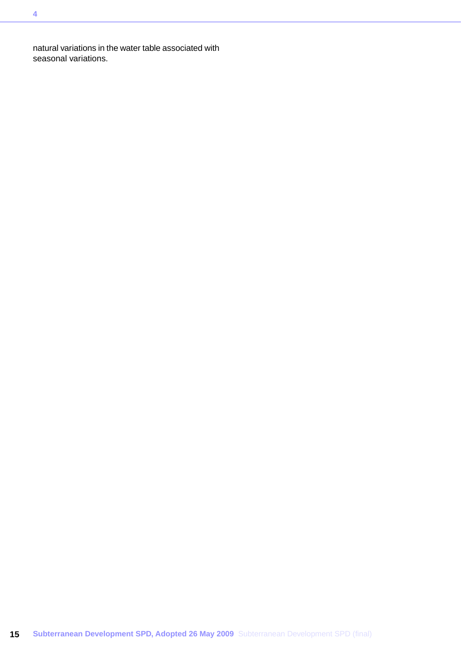natural variations in the water table associated with seasonal variations.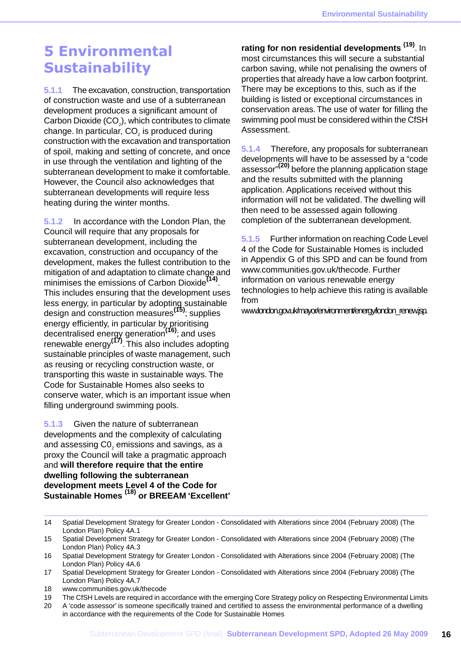## <span id="page-16-0"></span>**5 Environmental Sustainability**

**5.1.1** The excavation, construction, transportation of construction waste and use of a subterranean development produces a significant amount of Carbon Dioxide (CO $_2$ ), which contributes to climate change. In particular, CO $_{\scriptscriptstyle{2}}$  is produced during construction with the excavation and transportation of spoil, making and setting of concrete, and once in use through the ventilation and lighting of the subterranean development to make it comfortable. However, the Council also acknowledges that subterranean developments will require less heating during the winter months.

**5.1.2** In accordance with the London Plan, the Council will require that any proposals for subterranean development, including the excavation, construction and occupancy of the development, makes the fullest contribution to the mitigation of and adaptation to climate change and minimises the emissions of Carbon Dioxide**(14)** . This includes ensuring that the development uses less energy, in particular by adopting sustainable design and construction measures**(15)** ; supplies energy efficiently, in particular by prioritising decentralised energy generation**(16)** ; and uses renewable energy**(17)** . This also includes adopting sustainable principles of waste management, such as reusing or recycling construction waste, or transporting this waste in sustainable ways. The Code for Sustainable Homes also seeks to conserve water, which is an important issue when filling underground swimming pools.

**5.1.3** Given the nature of subterranean developments and the complexity of calculating and assessing C0 $_{\tiny 2}$  emissions and savings, as a proxy the Council will take a pragmatic approach and **will therefore require that the entire dwelling following the subterranean development meets Level 4 of the Code for Sustainable Homes (18) or BREEAM 'Excellent'**

**rating for non residential developments (19)** . In most circumstances this will secure a substantial carbon saving, while not penalising the owners of properties that already have a low carbon footprint. There may be exceptions to this, such as if the building is listed or exceptional circumstances in conservation areas. The use of water for filling the swimming pool must be considered within the CfSH Assessment.

**5.1.4** Therefore, any proposals for subterranean developments will have to be assessed by a "code assessor" **(20)** before the planning application stage and the results submitted with the planning application. Applications received without this information will not be validated. The dwelling will then need to be assessed again following completion of the subterranean development.

**5.1.5** Further information on reaching Code Level 4 of the Code for Sustainable Homes is included in Appendix G of this SPD and can be found from www.communities.gov.uk/thecode. Further information on various renewable energy technologies to help achieve this rating is available from

www.london.gov.uk/mayor/environment/energy/london\_renew.jsp.

- 14 Spatial Development Strategy for Greater London Consolidated with Alterations since 2004 (February 2008) (The London Plan) Policy 4A.1
- 15 Spatial Development Strategy for Greater London Consolidated with Alterations since 2004 (February 2008) (The London Plan) Policy 4A.3
- 16 Spatial Development Strategy for Greater London Consolidated with Alterations since 2004 (February 2008) (The London Plan) Policy 4A.6
- 17 Spatial Development Strategy for Greater London Consolidated with Alterations since 2004 (February 2008) (The London Plan) Policy 4A.7
- 18 www.communities.gov.uk/thecode
- 19 The CfSH Levels are required in accordance with the emerging Core Strategy policy on Respecting Environmental Limits
- 20 A 'code assessor' is someone specifically trained and certified to assess the environmental performance of a dwelling in accordance with the requirements of the Code for Sustainable Homes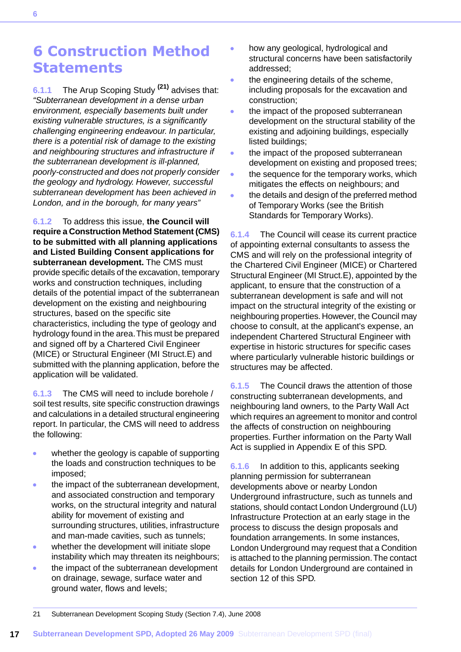## <span id="page-17-0"></span>**6 Construction Method Statements**

**6.1.1** The Arup Scoping Study **(21)** advises that: *"Subterranean development in a dense urban environment, especially basements built under existing vulnerable structures, is a significantly challenging engineering endeavour. In particular, there is a potential risk of damage to the existing and neighbouring structures and infrastructure if the subterranean development is ill-planned, poorly-constructed and does not properly consider the geology and hydrology. However, successful subterranean development has been achieved in London, and in the borough, for many years"*

**6.1.2** To address this issue, **the Council will require a Construction Method Statement (CMS) to be submitted with all planning applications and Listed Building Consent applications for subterranean development.** The CMS must provide specific details of the excavation, temporary works and construction techniques, including details of the potential impact of the subterranean development on the existing and neighbouring structures, based on the specific site characteristics, including the type of geology and hydrology found in the area.This must be prepared and signed off by a Chartered Civil Engineer (MICE) or Structural Engineer (MI Struct.E) and submitted with the planning application, before the application will be validated.

**6.1.3** The CMS will need to include borehole / soil test results, site specific construction drawings and calculations in a detailed structural engineering report. In particular, the CMS will need to address the following:

- whether the geology is capable of supporting  $\bullet$ the loads and construction techniques to be imposed;
- the impact of the subterranean development, and associated construction and temporary works, on the structural integrity and natural ability for movement of existing and surrounding structures, utilities, infrastructure and man-made cavities, such as tunnels;
- whether the development will initiate slope  $\bullet$ instability which may threaten its neighbours;
- the impact of the subterranean development on drainage, sewage, surface water and ground water, flows and levels;
- how any geological, hydrological and structural concerns have been satisfactorily addressed;
- the engineering details of the scheme, ò including proposals for the excavation and construction;
- the impact of the proposed subterranean development on the structural stability of the existing and adjoining buildings, especially listed buildings;
- the impact of the proposed subterranean development on existing and proposed trees;
- the sequence for the temporary works, which mitigates the effects on neighbours; and
- the details and design of the preferred method of Temporary Works (see the British Standards for Temporary Works).

**6.1.4** The Council will cease its current practice of appointing external consultants to assess the CMS and will rely on the professional integrity of the Chartered Civil Engineer (MICE) or Chartered Structural Engineer (MI Struct.E), appointed by the applicant, to ensure that the construction of a subterranean development is safe and will not impact on the structural integrity of the existing or neighbouring properties. However, the Council may choose to consult, at the applicant's expense, an independent Chartered Structural Engineer with expertise in historic structures for specific cases where particularly vulnerable historic buildings or structures may be affected.

**6.1.5** The Council draws the attention of those constructing subterranean developments, and neighbouring land owners, to the Party Wall Act which requires an agreement to monitor and control the affects of construction on neighbouring properties. Further information on the Party Wall Act is supplied in Appendix E of this SPD.

**6.1.6** In addition to this, applicants seeking planning permission for subterranean developments above or nearby London Underground infrastructure, such as tunnels and stations, should contact London Underground (LU) Infrastructure Protection at an early stage in the process to discuss the design proposals and foundation arrangements. In some instances, London Underground may request that a Condition is attached to the planning permission.The contact details for London Underground are contained in section 12 of this SPD.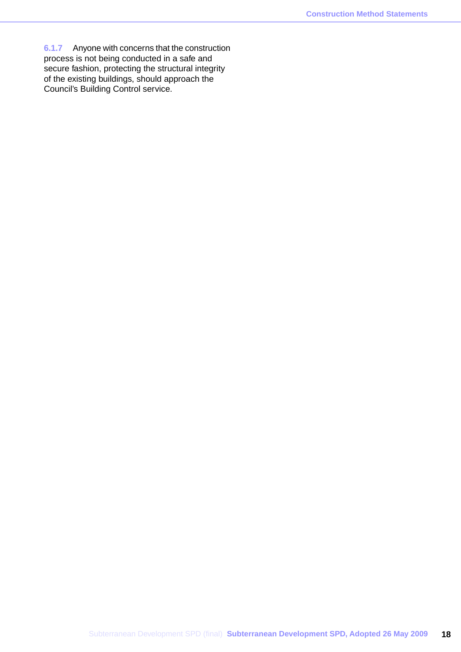**6.1.7** Anyone with concerns that the construction process is not being conducted in a safe and secure fashion, protecting the structural integrity of the existing buildings, should approach the Council's Building Control service.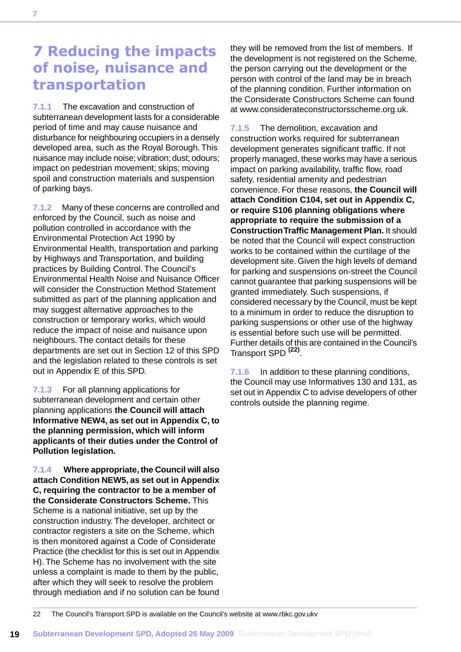## <span id="page-19-0"></span>**7 Reducing the impacts of noise, nuisance and transportation**

**7.1.1** The excavation and construction of subterranean development lasts for a considerable period of time and may cause nuisance and disturbance for neighbouring occupiers in a densely developed area, such as the Royal Borough. This nuisance may include noise; vibration; dust; odours; impact on pedestrian movement; skips; moving spoil and construction materials and suspension of parking bays.

**7.1.2** Many of these concerns are controlled and enforced by the Council, such as noise and pollution controlled in accordance with the Environmental Protection Act 1990 by Environmental Health, transportation and parking by Highways and Transportation, and building practices by Building Control. The Council's Environmental Health Noise and Nuisance Officer will consider the Construction Method Statement submitted as part of the planning application and may suggest alternative approaches to the construction or temporary works, which would reduce the impact of noise and nuisance upon neighbours. The contact details for these departments are set out in Section 12 of this SPD and the legislation related to these controls is set out in Appendix E of this SPD.

**7.1.3** For all planning applications for subterranean development and certain other planning applications **the Council will attach Informative NEW4, as set out in Appendix C, to the planning permission, which will inform applicants of their duties under the Control of Pollution legislation.**

**7.1.4 Where appropriate, the Council will also attach Condition NEW5, as set out in Appendix C, requiring the contractor to be a member of the Considerate Constructors Scheme.** This Scheme is a national initiative, set up by the construction industry. The developer, architect or contractor registers a site on the Scheme, which is then monitored against a Code of Considerate Practice (the checklist for this is set out in Appendix H). The Scheme has no involvement with the site unless a complaint is made to them by the public, after which they will seek to resolve the problem through mediation and if no solution can be found

they will be removed from the list of members. If the development is not registered on the Scheme, the person carrying out the development or the person with control of the land may be in breach of the planning condition. Further information on the Considerate Constructors Scheme can found at www.considerateconstructorsscheme.org.uk.

**7.1.5** The demolition, excavation and construction works required for subterranean development generates significant traffic. If not properly managed, these works may have a serious impact on parking availability, traffic flow, road safety, residential amenity and pedestrian convenience. For these reasons, **the Council will attach Condition C104, set out in Appendix C, or require S106 planning obligations where appropriate to require the submission of a Construction Traffic Management Plan.** It should be noted that the Council will expect construction works to be contained within the curtilage of the development site. Given the high levels of demand for parking and suspensions on-street the Council cannot guarantee that parking suspensions will be granted immediately. Such suspensions, if considered necessary by the Council, must be kept to a minimum in order to reduce the disruption to parking suspensions or other use of the highway is essential before such use will be permitted. Further details of this are contained in the Council's Transport SPD **(22)** .

**7.1.6** In addition to these planning conditions, the Council may use Informatives 130 and 131, as set out in Appendix C to advise developers of other controls outside the planning regime.

22 The Council's Transport SPD is available on the Council's website at www.rbkc.gov.ukv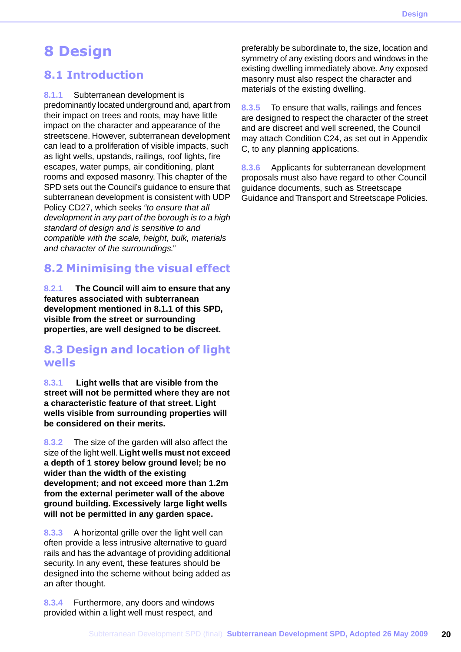## <span id="page-20-0"></span>**8 Design**

### <span id="page-20-1"></span>**8.1 Introduction**

**8.1.1** Subterranean development is

predominantly located underground and, apart from their impact on trees and roots, may have little impact on the character and appearance of the streetscene. However, subterranean development can lead to a proliferation of visible impacts, such as light wells, upstands, railings, roof lights, fire escapes, water pumps, air conditioning, plant rooms and exposed masonry. This chapter of the SPD sets out the Council's guidance to ensure that subterranean development is consistent with UDP Policy CD27, which seeks *"to ensure that all development in any part of the borough is to a high standard of design and is sensitive to and compatible with the scale, height, bulk, materials and character of the surroundings."*

## <span id="page-20-2"></span>**8.2 Minimising the visual effect**

<span id="page-20-3"></span>**8.2.1 The Council will aim to ensure that any features associated with subterranean development mentioned in 8.1.1 of this SPD, visible from the street or surrounding properties, are well designed to be discreet.**

### **8.3 Design and location of light wells**

**8.3.1 Light wells that are visible from the street will not be permitted where they are not a characteristic feature of that street. Light wells visible from surrounding properties will be considered on their merits.**

**8.3.2** The size of the garden will also affect the size of the light well. **Light wells must not exceed a depth of 1 storey below ground level; be no wider than the width of the existing development; and not exceed more than 1.2m from the external perimeter wall of the above ground building. Excessively large light wells will not be permitted in any garden space.**

**8.3.3** A horizontal grille over the light well can often provide a less intrusive alternative to guard rails and has the advantage of providing additional security. In any event, these features should be designed into the scheme without being added as an after thought.

**8.3.4** Furthermore, any doors and windows provided within a light well must respect, and preferably be subordinate to, the size, location and symmetry of any existing doors and windows in the existing dwelling immediately above. Any exposed masonry must also respect the character and materials of the existing dwelling.

**8.3.5** To ensure that walls, railings and fences are designed to respect the character of the street and are discreet and well screened, the Council may attach Condition C24, as set out in Appendix C, to any planning applications.

**8.3.6** Applicants for subterranean development proposals must also have regard to other Council guidance documents, such as Streetscape Guidance and Transport and Streetscape Policies.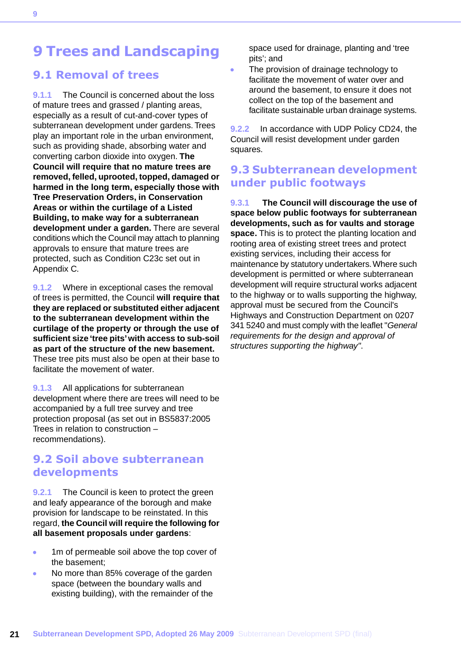## <span id="page-21-0"></span>**9 Trees and Landscaping**

### <span id="page-21-1"></span>**9.1 Removal of trees**

**9.1.1** The Council is concerned about the loss of mature trees and grassed / planting areas, especially as a result of cut-and-cover types of subterranean development under gardens. Trees play an important role in the urban environment, such as providing shade, absorbing water and converting carbon dioxide into oxygen. **The Council will require that no mature trees are removed, felled, uprooted, topped, damaged or harmed in the long term, especially those with Tree Preservation Orders, in Conservation Areas or within the curtilage of a Listed Building, to make way for a subterranean development under a garden.** There are several conditions which the Council may attach to planning approvals to ensure that mature trees are protected, such as Condition C23c set out in Appendix C.

**9.1.2** Where in exceptional cases the removal of trees is permitted, the Council **will require that they are replaced or substituted either adjacent to the subterranean development within the curtilage of the property or through the use of sufficient size 'tree pits' with access to sub-soil as part of the structure of the new basement.** These tree pits must also be open at their base to facilitate the movement of water.

<span id="page-21-2"></span>**9.1.3** All applications for subterranean development where there are trees will need to be accompanied by a full tree survey and tree protection proposal (as set out in BS5837:2005 Trees in relation to construction – recommendations).

### **9.2 Soil above subterranean developments**

**9.2.1** The Council is keen to protect the green and leafy appearance of the borough and make provision for landscape to be reinstated. In this regard, **the Council will require the following for all basement proposals under gardens**:

- 1m of permeable soil above the top cover of the basement;
- ä No more than 85% coverage of the garden space (between the boundary walls and existing building), with the remainder of the

space used for drainage, planting and 'tree pits'; and

The provision of drainage technology to facilitate the movement of water over and around the basement, to ensure it does not collect on the top of the basement and facilitate sustainable urban drainage systems.

**9.2.2** In accordance with UDP Policy CD24, the Council will resist development under garden squares.

### <span id="page-21-3"></span>**9.3 Subterranean development under public footways**

**9.3.1 The Council will discourage the use of space below public footways for subterranean developments, such as for vaults and storage space.** This is to protect the planting location and rooting area of existing street trees and protect existing services, including their access for maintenance by statutory undertakers.Where such development is permitted or where subterranean development will require structural works adjacent to the highway or to walls supporting the highway, approval must be secured from the Council's Highways and Construction Department on 0207 341 5240 and must comply with the leaflet "*General requirements for the design and approval of structures supporting the highway"*.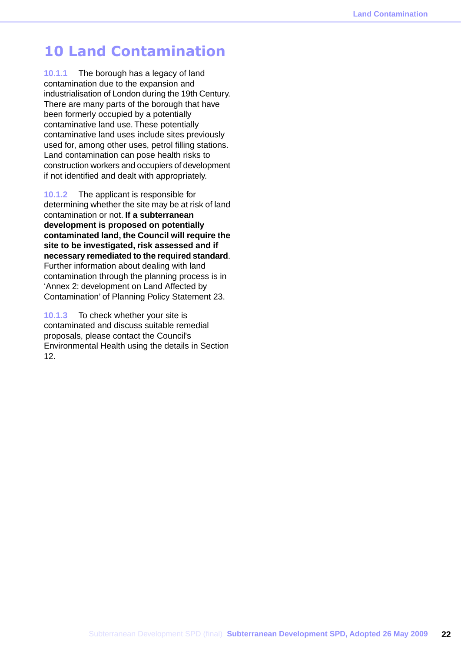## <span id="page-22-0"></span>**10 Land Contamination**

**10.1.1** The borough has a legacy of land contamination due to the expansion and industrialisation of London during the 19th Century. There are many parts of the borough that have been formerly occupied by a potentially contaminative land use. These potentially contaminative land uses include sites previously used for, among other uses, petrol filling stations. Land contamination can pose health risks to construction workers and occupiers of development if not identified and dealt with appropriately.

**10.1.2** The applicant is responsible for determining whether the site may be at risk of land contamination or not. **If a subterranean development is proposed on potentially contaminated land, the Council will require the site to be investigated, risk assessed and if necessary remediated to the required standard**. Further information about dealing with land contamination through the planning process is in 'Annex 2: development on Land Affected by Contamination' of Planning Policy Statement 23.

**10.1.3** To check whether your site is contaminated and discuss suitable remedial proposals, please contact the Council's Environmental Health using the details in Section 12.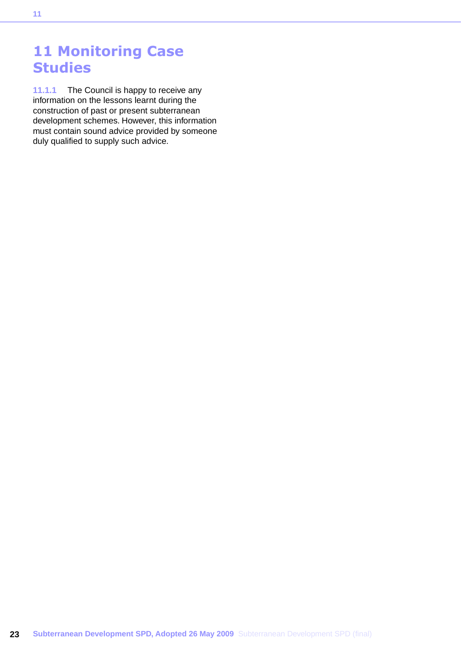## <span id="page-23-0"></span>**11 Monitoring Case Studies**

**11.1.1** The Council is happy to receive any information on the lessons learnt during the construction of past or present subterranean development schemes. However, this information must contain sound advice provided by someone duly qualified to supply such advice.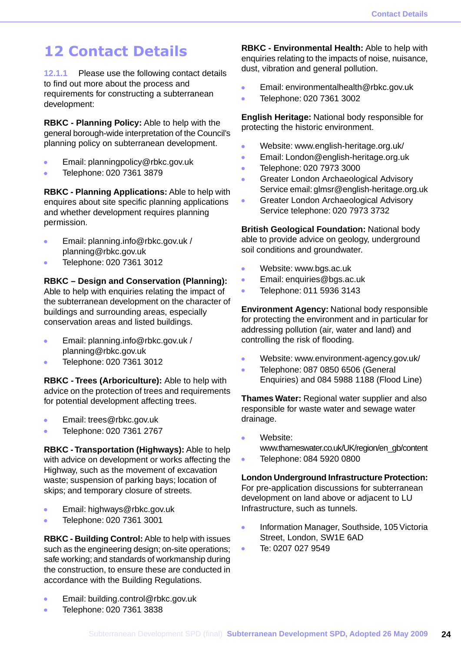## <span id="page-24-0"></span>**12 Contact Details**

**12.1.1** Please use the following contact details to find out more about the process and requirements for constructing a subterranean development:

**RBKC - Planning Policy:** Able to help with the general borough-wide interpretation of the Council's planning policy on subterranean development.

- Email: planningpolicy@rbkc.gov.uk  $\bullet$
- Telephone: 020 7361 3879

**RBKC - Planning Applications:** Able to help with enquires about site specific planning applications and whether development requires planning permission.

- $\bullet$ Email: planning.info@rbkc.gov.uk / planning@rbkc.gov.uk
- Telephone: 020 7361 3012

#### **RBKC – Design and Conservation (Planning):**

Able to help with enquiries relating the impact of the subterranean development on the character of buildings and surrounding areas, especially conservation areas and listed buildings.

- Email: planning.info@rbkc.gov.uk /  $\bullet$ planning@rbkc.gov.uk
- Telephone: 020 7361 3012

**RBKC - Trees (Arboriculture):** Able to help with advice on the protection of trees and requirements for potential development affecting trees.

- Email: trees@rbkc.gov.uk
- Telephone: 020 7361 2767  $\mathbf{r}$

**RBKC - Transportation (Highways):** Able to help with advice on development or works affecting the Highway, such as the movement of excavation waste; suspension of parking bays; location of skips; and temporary closure of streets.

- Email: highways@rbkc.gov.uk  $\bullet$
- Telephone: 020 7361 3001  $\bullet$

**RBKC - Building Control:** Able to help with issues such as the engineering design; on-site operations; safe working; and standards of workmanship during the construction, to ensure these are conducted in accordance with the Building Regulations.

- Email: building.control@rbkc.gov.uk  $\ddot{\phantom{a}}$
- Telephone: 020 7361 3838

**RBKC - Environmental Health:** Able to help with enquiries relating to the impacts of noise, nuisance, dust, vibration and general pollution.

- $\bullet$ Email: environmentalhealth@rbkc.gov.uk
- $\ddot{\phantom{1}}$ Telephone: 020 7361 3002

**English Heritage:** National body responsible for protecting the historic environment.

- $\bullet$ Website: www.english-heritage.org.uk/
- Email: London@english-heritage.org.uk  $\bullet$
- Telephone: 020 7973 3000  $\sim$
- Greater London Archaeological Advisory  $\bullet$ Service email: glmsr@english-heritage.org.uk
- Greater London Archaeological Advisory Service telephone: 020 7973 3732

**British Geological Foundation:** National body able to provide advice on geology, underground soil conditions and groundwater.

- $\bullet$ Website: www.bgs.ac.uk
- Email: enquiries@bgs.ac.uk  $\bullet$
- Telephone: 011 5936 3143  $\ddot{\phantom{a}}$

**Environment Agency:** National body responsible for protecting the environment and in particular for addressing pollution (air, water and land) and controlling the risk of flooding.

- $\ddot{\bullet}$ Website: www.environment-agency.gov.uk/
- Telephone: 087 0850 6506 (General Enquiries) and 084 5988 1188 (Flood Line)

**Thames Water:** Regional water supplier and also responsible for waste water and sewage water drainage.

Website:

www.thameswater.co.uk/UK/region/en\_gb/content

Telephone: 084 5920 0800

#### **London Underground Infrastructure Protection:**

For pre-application discussions for subterranean development on land above or adjacent to LU Infrastructure, such as tunnels.

- Information Manager, Southside, 105 Victoria  $\bullet$ Street, London, SW1E 6AD
- Te: 0207 027 9549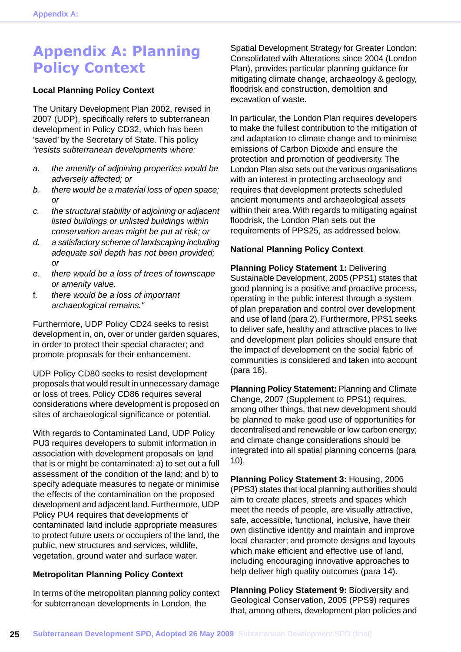## <span id="page-25-0"></span>**Appendix A: Planning Policy Context**

#### **Local Planning Policy Context**

The Unitary Development Plan 2002, revised in 2007 (UDP), specifically refers to subterranean development in Policy CD32, which has been 'saved' by the Secretary of State. This policy *"resists subterranean developments where:*

- *a. the amenity of adjoining properties would be adversely affected; or*
- *b. there would be a material loss of open space; or*
- *c. the structural stability of adjoining or adjacent listed buildings or unlisted buildings within conservation areas might be put at risk; or*
- *d. a satisfactory scheme of landscaping including adequate soil depth has not been provided; or*
- *e. there would be a loss of trees of townscape or amenity value.*
- f. *there would be a loss of important archaeological remains."*

Furthermore, UDP Policy CD24 seeks to resist development in, on, over or under garden squares, in order to protect their special character; and promote proposals for their enhancement.

UDP Policy CD80 seeks to resist development proposals that would result in unnecessary damage or loss of trees. Policy CD86 requires several considerations where development is proposed on sites of archaeological significance or potential.

With regards to Contaminated Land, UDP Policy PU3 requires developers to submit information in association with development proposals on land that is or might be contaminated: a) to set out a full assessment of the condition of the land; and b) to specify adequate measures to negate or minimise the effects of the contamination on the proposed development and adjacent land. Furthermore, UDP Policy PU4 requires that developments of contaminated land include appropriate measures to protect future users or occupiers of the land, the public, new structures and services, wildlife, vegetation, ground water and surface water.

#### **Metropolitan Planning Policy Context**

In terms of the metropolitan planning policy context for subterranean developments in London, the

Spatial Development Strategy for Greater London: Consolidated with Alterations since 2004 (London Plan), provides particular planning guidance for mitigating climate change, archaeology & geology, floodrisk and construction, demolition and excavation of waste.

In particular, the London Plan requires developers to make the fullest contribution to the mitigation of and adaptation to climate change and to minimise emissions of Carbon Dioxide and ensure the protection and promotion of geodiversity. The London Plan also sets out the various organisations with an interest in protecting archaeology and requires that development protects scheduled ancient monuments and archaeological assets within their area.With regards to mitigating against floodrisk, the London Plan sets out the requirements of PPS25, as addressed below.

#### **National Planning Policy Context**

**Planning Policy Statement 1:** Delivering Sustainable Development, 2005 (PPS1) states that good planning is a positive and proactive process, operating in the public interest through a system of plan preparation and control over development and use of land (para 2). Furthermore, PPS1 seeks to deliver safe, healthy and attractive places to live and development plan policies should ensure that the impact of development on the social fabric of communities is considered and taken into account (para 16).

**Planning Policy Statement:** Planning and Climate Change, 2007 (Supplement to PPS1) requires, among other things, that new development should be planned to make good use of opportunities for decentralised and renewable or low carbon energy; and climate change considerations should be integrated into all spatial planning concerns (para 10).

**Planning Policy Statement 3:** Housing, 2006 (PPS3) states that local planning authorities should aim to create places, streets and spaces which meet the needs of people, are visually attractive, safe, accessible, functional, inclusive, have their own distinctive identity and maintain and improve local character; and promote designs and layouts which make efficient and effective use of land, including encouraging innovative approaches to help deliver high quality outcomes (para 14).

**Planning Policy Statement 9:** Biodiversity and Geological Conservation, 2005 (PPS9) requires that, among others, development plan policies and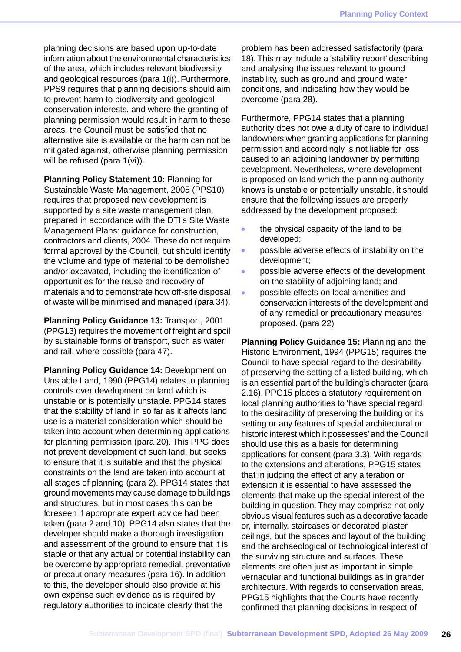planning decisions are based upon up-to-date information about the environmental characteristics of the area, which includes relevant biodiversity and geological resources (para 1(i)). Furthermore, PPS9 requires that planning decisions should aim to prevent harm to biodiversity and geological conservation interests, and where the granting of planning permission would result in harm to these areas, the Council must be satisfied that no alternative site is available or the harm can not be mitigated against, otherwise planning permission will be refused (para 1(vi)).

**Planning Policy Statement 10:** Planning for Sustainable Waste Management, 2005 (PPS10) requires that proposed new development is supported by a site waste management plan, prepared in accordance with the DTI's Site Waste Management Plans: guidance for construction, contractors and clients, 2004.These do not require formal approval by the Council, but should identify the volume and type of material to be demolished and/or excavated, including the identification of opportunities for the reuse and recovery of materials and to demonstrate how off-site disposal of waste will be minimised and managed (para 34).

**Planning Policy Guidance 13:** Transport, 2001 (PPG13) requires the movement of freight and spoil by sustainable forms of transport, such as water and rail, where possible (para 47).

**Planning Policy Guidance 14:** Development on Unstable Land, 1990 (PPG14) relates to planning controls over development on land which is unstable or is potentially unstable. PPG14 states that the stability of land in so far as it affects land use is a material consideration which should be taken into account when determining applications for planning permission (para 20). This PPG does not prevent development of such land, but seeks to ensure that it is suitable and that the physical constraints on the land are taken into account at all stages of planning (para 2). PPG14 states that ground movements may cause damage to buildings and structures, but in most cases this can be foreseen if appropriate expert advice had been taken (para 2 and 10). PPG14 also states that the developer should make a thorough investigation and assessment of the ground to ensure that it is stable or that any actual or potential instability can be overcome by appropriate remedial, preventative or precautionary measures (para 16). In addition to this, the developer should also provide at his own expense such evidence as is required by regulatory authorities to indicate clearly that the

problem has been addressed satisfactorily (para 18). This may include a 'stability report' describing and analysing the issues relevant to ground instability, such as ground and ground water conditions, and indicating how they would be overcome (para 28).

Furthermore, PPG14 states that a planning authority does not owe a duty of care to individual landowners when granting applications for planning permission and accordingly is not liable for loss caused to an adjoining landowner by permitting development. Nevertheless, where development is proposed on land which the planning authority knows is unstable or potentially unstable, it should ensure that the following issues are properly addressed by the development proposed:

- the physical capacity of the land to be developed;
- possible adverse effects of instability on the development;
- possible adverse effects of the development on the stability of adjoining land; and
- possible effects on local amenities and conservation interests of the development and of any remedial or precautionary measures proposed. (para 22)

**Planning Policy Guidance 15:** Planning and the Historic Environment, 1994 (PPG15) requires the Council to have special regard to the desirability of preserving the setting of a listed building, which is an essential part of the building's character (para 2.16). PPG15 places a statutory requirement on local planning authorities to 'have special regard to the desirability of preserving the building or its setting or any features of special architectural or historic interest which it possesses' and the Council should use this as a basis for determining applications for consent (para 3.3). With regards to the extensions and alterations, PPG15 states that in judging the effect of any alteration or extension it is essential to have assessed the elements that make up the special interest of the building in question. They may comprise not only obvious visual features such as a decorative facade or, internally, staircases or decorated plaster ceilings, but the spaces and layout of the building and the archaeological or technological interest of the surviving structure and surfaces. These elements are often just as important in simple vernacular and functional buildings as in grander architecture. With regards to conservation areas, PPG15 highlights that the Courts have recently confirmed that planning decisions in respect of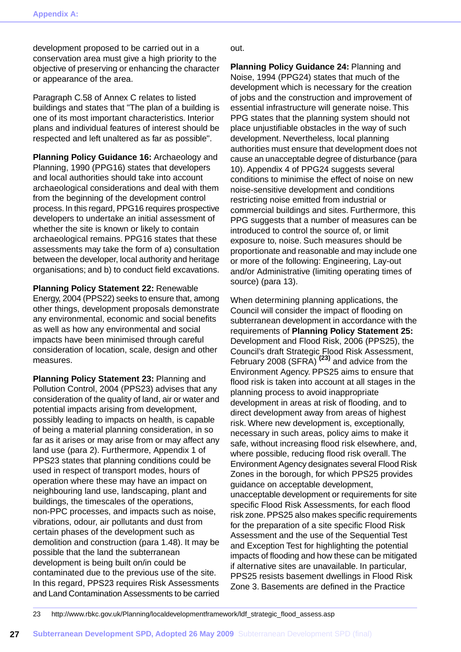development proposed to be carried out in a conservation area must give a high priority to the objective of preserving or enhancing the character or appearance of the area.

Paragraph C.58 of Annex C relates to listed buildings and states that "The plan of a building is one of its most important characteristics. Interior plans and individual features of interest should be respected and left unaltered as far as possible".

**Planning Policy Guidance 16:** Archaeology and Planning, 1990 (PPG16) states that developers and local authorities should take into account archaeological considerations and deal with them from the beginning of the development control process. In this regard, PPG16 requires prospective developers to undertake an initial assessment of whether the site is known or likely to contain archaeological remains. PPG16 states that these assessments may take the form of a) consultation between the developer, local authority and heritage organisations; and b) to conduct field excavations.

**Planning Policy Statement 22:** Renewable Energy, 2004 (PPS22) seeks to ensure that, among other things, development proposals demonstrate any environmental, economic and social benefits as well as how any environmental and social impacts have been minimised through careful consideration of location, scale, design and other measures.

**Planning Policy Statement 23:** Planning and Pollution Control, 2004 (PPS23) advises that any consideration of the quality of land, air or water and potential impacts arising from development, possibly leading to impacts on health, is capable of being a material planning consideration, in so far as it arises or may arise from or may affect any land use (para 2). Furthermore, Appendix 1 of PPS23 states that planning conditions could be used in respect of transport modes, hours of operation where these may have an impact on neighbouring land use, landscaping, plant and buildings, the timescales of the operations, non-PPC processes, and impacts such as noise, vibrations, odour, air pollutants and dust from certain phases of the development such as demolition and construction (para 1.48). It may be possible that the land the subterranean development is being built on/in could be contaminated due to the previous use of the site. In this regard, PPS23 requires Risk Assessments and Land Contamination Assessments to be carried out.

**Planning Policy Guidance 24:** Planning and Noise, 1994 (PPG24) states that much of the development which is necessary for the creation of jobs and the construction and improvement of essential infrastructure will generate noise. This PPG states that the planning system should not place unjustifiable obstacles in the way of such development. Nevertheless, local planning authorities must ensure that development does not cause an unacceptable degree of disturbance (para 10). Appendix 4 of PPG24 suggests several conditions to minimise the effect of noise on new noise-sensitive development and conditions restricting noise emitted from industrial or commercial buildings and sites. Furthermore, this PPG suggests that a number of measures can be introduced to control the source of, or limit exposure to, noise. Such measures should be proportionate and reasonable and may include one or more of the following: Engineering, Lay-out and/or Administrative (limiting operating times of source) (para 13).

When determining planning applications, the Council will consider the impact of flooding on subterranean development in accordance with the requirements of **Planning Policy Statement 25:** Development and Flood Risk, 2006 (PPS25), the Council's draft Strategic Flood Risk Assessment, February 2008 (SFRA) **(23)** and advice from the Environment Agency. PPS25 aims to ensure that flood risk is taken into account at all stages in the planning process to avoid inappropriate development in areas at risk of flooding, and to direct development away from areas of highest risk. Where new development is, exceptionally, necessary in such areas, policy aims to make it safe, without increasing flood risk elsewhere, and, where possible, reducing flood risk overall. The Environment Agency designates several Flood Risk Zones in the borough, for which PPS25 provides guidance on acceptable development, unacceptable development or requirements for site specific Flood Risk Assessments, for each flood risk zone. PPS25 also makes specific requirements for the preparation of a site specific Flood Risk Assessment and the use of the Sequential Test and Exception Test for highlighting the potential impacts of flooding and how these can be mitigated if alternative sites are unavailable. In particular, PPS25 resists basement dwellings in Flood Risk Zone 3. Basements are defined in the Practice

23 http://www.rbkc.gov.uk/Planning/localdevelopmentframework/ldf\_strategic\_flood\_assess.asp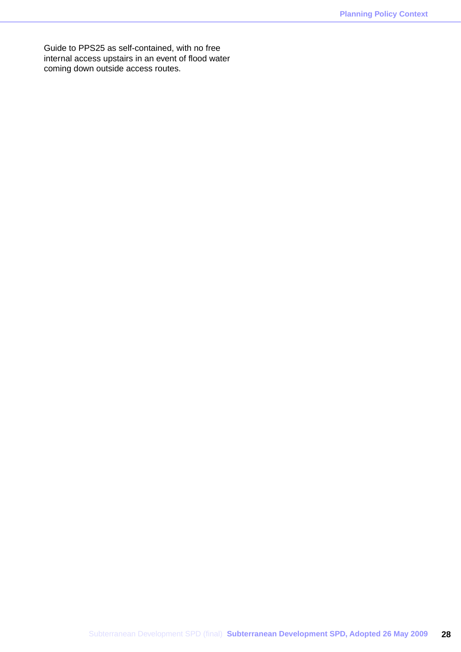Guide to PPS25 as self-contained, with no free internal access upstairs in an event of flood water coming down outside access routes.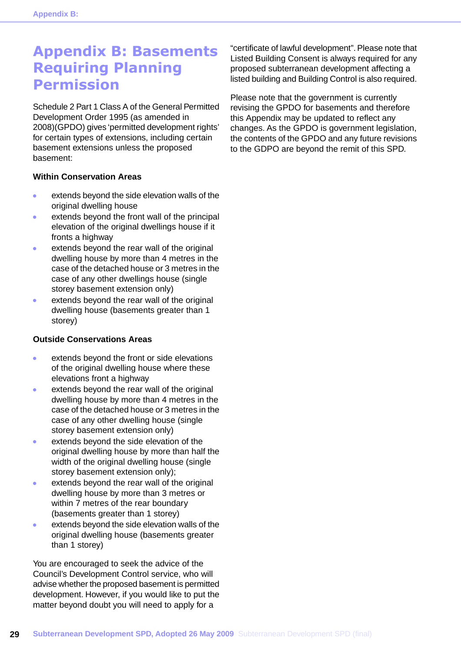## <span id="page-29-0"></span>**Appendix B: Basements Requiring Planning Permission**

Schedule 2 Part 1 Class A of the General Permitted Development Order 1995 (as amended in 2008)(GPDO) gives 'permitted development rights' for certain types of extensions, including certain basement extensions unless the proposed basement:

#### **Within Conservation Areas**

- extends beyond the side elevation walls of the  $\bullet$ original dwelling house
- extends beyond the front wall of the principal ö elevation of the original dwellings house if it fronts a highway
- extends beyond the rear wall of the original dwelling house by more than 4 metres in the case of the detached house or 3 metres in the case of any other dwellings house (single storey basement extension only)
- extends beyond the rear wall of the original dwelling house (basements greater than 1 storey)

#### **Outside Conservations Areas**

- extends beyond the front or side elevations  $\bullet$ of the original dwelling house where these elevations front a highway
- extends beyond the rear wall of the original dwelling house by more than 4 metres in the case of the detached house or 3 metres in the case of any other dwelling house (single storey basement extension only)
- extends beyond the side elevation of the original dwelling house by more than half the width of the original dwelling house (single storey basement extension only);
- extends beyond the rear wall of the original  $\bullet$ dwelling house by more than 3 metres or within 7 metres of the rear boundary (basements greater than 1 storey)
- extends beyond the side elevation walls of the  $\mathbf{r}$ original dwelling house (basements greater than 1 storey)

You are encouraged to seek the advice of the Council's Development Control service, who will advise whether the proposed basement is permitted development. However, if you would like to put the matter beyond doubt you will need to apply for a

"certificate of lawful development". Please note that Listed Building Consent is always required for any proposed subterranean development affecting a listed building and Building Control is also required.

Please note that the government is currently revising the GPDO for basements and therefore this Appendix may be updated to reflect any changes. As the GPDO is government legislation, the contents of the GPDO and any future revisions to the GDPO are beyond the remit of this SPD.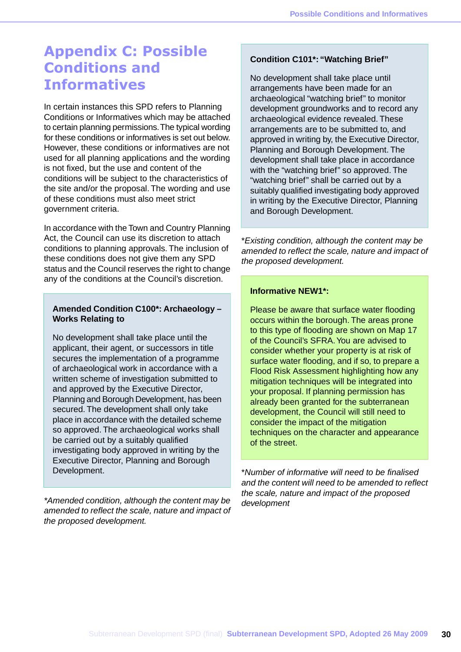## <span id="page-30-0"></span>**Appendix C: Possible Conditions and Informatives**

In certain instances this SPD refers to Planning Conditions or Informatives which may be attached to certain planning permissions.The typical wording for these conditions or informatives is set out below. However, these conditions or informatives are not used for all planning applications and the wording is not fixed, but the use and content of the conditions will be subject to the characteristics of the site and/or the proposal. The wording and use of these conditions must also meet strict government criteria.

In accordance with the Town and Country Planning Act, the Council can use its discretion to attach conditions to planning approvals. The inclusion of these conditions does not give them any SPD status and the Council reserves the right to change any of the conditions at the Council's discretion.

#### **Amended Condition C100\*: Archaeology – Works Relating to**

No development shall take place until the applicant, their agent, or successors in title secures the implementation of a programme of archaeological work in accordance with a written scheme of investigation submitted to and approved by the Executive Director, Planning and Borough Development, has been secured. The development shall only take place in accordance with the detailed scheme so approved. The archaeological works shall be carried out by a suitably qualified investigating body approved in writing by the Executive Director, Planning and Borough Development.

*\*Amended condition, although the content may be amended to reflect the scale, nature and impact of the proposed development.*

#### **Condition C101\*: "Watching Brief"**

No development shall take place until arrangements have been made for an archaeological "watching brief" to monitor development groundworks and to record any archaeological evidence revealed. These arrangements are to be submitted to, and approved in writing by, the Executive Director, Planning and Borough Development. The development shall take place in accordance with the "watching brief" so approved. The "watching brief" shall be carried out by a suitably qualified investigating body approved in writing by the Executive Director, Planning and Borough Development.

\**Existing condition, although the content may be amended to reflect the scale, nature and impact of the proposed development.*

#### **Informative NEW1\*:**

Please be aware that surface water flooding occurs within the borough. The areas prone to this type of flooding are shown on Map 17 of the Council's SFRA.You are advised to consider whether your property is at risk of surface water flooding, and if so, to prepare a Flood Risk Assessment highlighting how any mitigation techniques will be integrated into your proposal. If planning permission has already been granted for the subterranean development, the Council will still need to consider the impact of the mitigation techniques on the character and appearance of the street.

\**Number of informative will need to be finalised and the content will need to be amended to reflect the scale, nature and impact of the proposed development*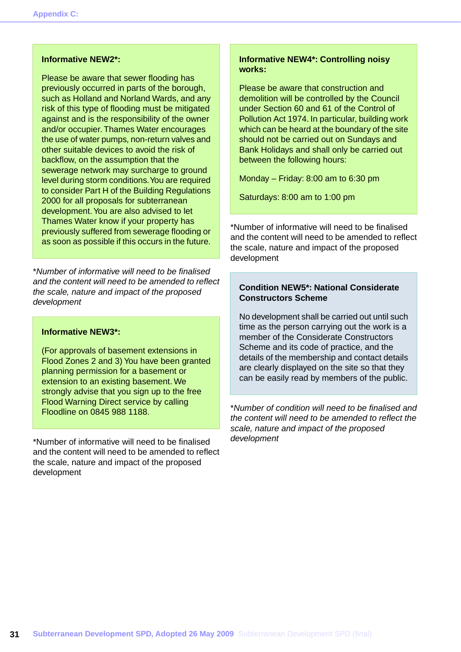#### **Informative NEW2\*:**

Please be aware that sewer flooding has previously occurred in parts of the borough, such as Holland and Norland Wards, and any risk of this type of flooding must be mitigated against and is the responsibility of the owner and/or occupier. Thames Water encourages the use of water pumps, non-return valves and other suitable devices to avoid the risk of backflow, on the assumption that the sewerage network may surcharge to ground level during storm conditions.You are required to consider Part H of the Building Regulations 2000 for all proposals for subterranean development.You are also advised to let Thames Water know if your property has previously suffered from sewerage flooding or as soon as possible if this occurs in the future.

\**Number of informative will need to be finalised and the content will need to be amended to reflect the scale, nature and impact of the proposed development*

#### **Informative NEW3\*:**

(For approvals of basement extensions in Flood Zones 2 and 3) You have been granted planning permission for a basement or extension to an existing basement. We strongly advise that you sign up to the free Flood Warning Direct service by calling Floodline on 0845 988 1188.

\*Number of informative will need to be finalised and the content will need to be amended to reflect the scale, nature and impact of the proposed development

#### **Informative NEW4\*: Controlling noisy works:**

Please be aware that construction and demolition will be controlled by the Council under Section 60 and 61 of the Control of Pollution Act 1974. In particular, building work which can be heard at the boundary of the site should not be carried out on Sundays and Bank Holidays and shall only be carried out between the following hours:

Monday – Friday: 8:00 am to 6:30 pm

Saturdays: 8:00 am to 1:00 pm

\*Number of informative will need to be finalised and the content will need to be amended to reflect the scale, nature and impact of the proposed development

#### **Condition NEW5\*: National Considerate Constructors Scheme**

No development shall be carried out until such time as the person carrying out the work is a member of the Considerate Constructors Scheme and its code of practice, and the details of the membership and contact details are clearly displayed on the site so that they can be easily read by members of the public.

\**Number of condition will need to be finalised and the content will need to be amended to reflect the scale, nature and impact of the proposed development*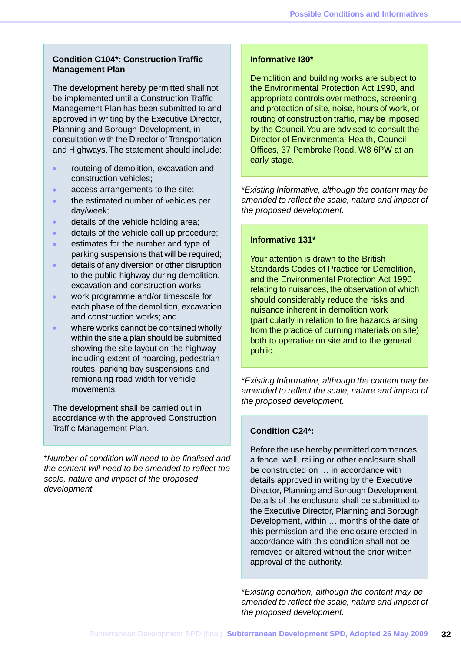#### **Condition C104\*: Construction Traffic Management Plan**

The development hereby permitted shall not be implemented until a Construction Traffic Management Plan has been submitted to and approved in writing by the Executive Director, Planning and Borough Development, in consultation with the Director of Transportation and Highways.The statement should include:

- routeing of demolition, excavation and construction vehicles;
- access arrangements to the site; ä
- the estimated number of vehicles per  $\bullet$ day/week;
- details of the vehicle holding area;
- $\ddot{\phantom{a}}$ details of the vehicle call up procedure;
- estimates for the number and type of × parking suspensions that will be required;
- details of any diversion or other disruption to the public highway during demolition, excavation and construction works;
- work programme and/or timescale for  $\bullet$ each phase of the demolition, excavation and construction works; and
- where works cannot be contained wholly within the site a plan should be submitted showing the site layout on the highway including extent of hoarding, pedestrian routes, parking bay suspensions and remionaing road width for vehicle movements.

The development shall be carried out in accordance with the approved Construction Traffic Management Plan.

\**Number of condition will need to be finalised and the content will need to be amended to reflect the scale, nature and impact of the proposed development*

#### **Informative I30\***

Demolition and building works are subject to the Environmental Protection Act 1990, and appropriate controls over methods, screening, and protection of site, noise, hours of work, or routing of construction traffic, may be imposed by the Council.You are advised to consult the Director of Environmental Health, Council Offices, 37 Pembroke Road, W8 6PW at an early stage.

\**Existing Informative, although the content may be amended to reflect the scale, nature and impact of the proposed development.*

#### **Informative 131\***

Your attention is drawn to the British Standards Codes of Practice for Demolition, and the Environmental Protection Act 1990 relating to nuisances, the observation of which should considerably reduce the risks and nuisance inherent in demolition work (particularly in relation to fire hazards arising from the practice of burning materials on site) both to operative on site and to the general public.

\**Existing Informative, although the content may be amended to reflect the scale, nature and impact of the proposed development.*

#### **Condition C24\*:**

Before the use hereby permitted commences, a fence, wall, railing or other enclosure shall be constructed on … in accordance with details approved in writing by the Executive Director, Planning and Borough Development. Details of the enclosure shall be submitted to the Executive Director, Planning and Borough Development, within … months of the date of this permission and the enclosure erected in accordance with this condition shall not be removed or altered without the prior written approval of the authority.

\**Existing condition, although the content may be amended to reflect the scale, nature and impact of the proposed development.*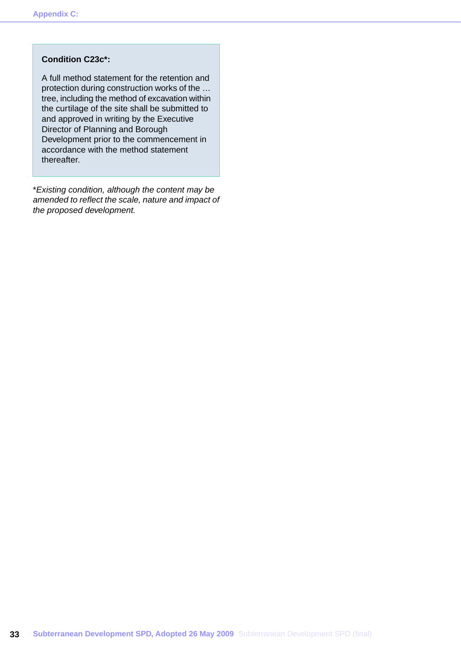#### **Condition C23c\*:**

A full method statement for the retention and protection during construction works of the … tree, including the method of excavation within the curtilage of the site shall be submitted to and approved in writing by the Executive Director of Planning and Borough Development prior to the commencement in accordance with the method statement thereafter.

\**Existing condition, although the content may be amended to reflect the scale, nature and impact of the proposed development.*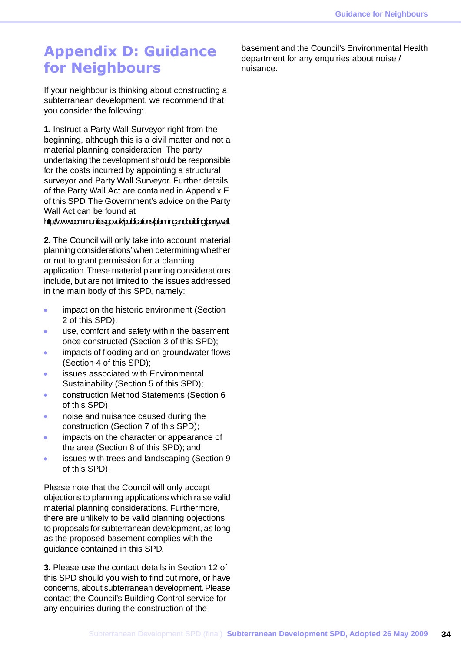## <span id="page-34-0"></span>**Appendix D: Guidance for Neighbours**

If your neighbour is thinking about constructing a subterranean development, we recommend that you consider the following:

**1.** Instruct a Party Wall Surveyor right from the beginning, although this is a civil matter and not a material planning consideration. The party undertaking the development should be responsible for the costs incurred by appointing a structural surveyor and Party Wall Surveyor. Further details of the Party Wall Act are contained in Appendix E of this SPD.The Government's advice on the Party Wall Act can be found at

#### http://www.communities.gov.uk/publications/planningandbuilding/partywall.

**2.** The Council will only take into account 'material planning considerations' when determining whether or not to grant permission for a planning application.These material planning considerations include, but are not limited to, the issues addressed in the main body of this SPD, namely:

- impact on the historic environment (Section  $\bullet$ 2 of this SPD);
- use, comfort and safety within the basement  $\bullet$ once constructed (Section 3 of this SPD);
- impacts of flooding and on groundwater flows  $\bullet$ (Section 4 of this SPD);
- issues associated with Environmental  $\bullet$ Sustainability (Section 5 of this SPD);
- construction Method Statements (Section 6  $\blacksquare$ of this SPD);
- noise and nuisance caused during the  $\bullet$ construction (Section 7 of this SPD);
- impacts on the character or appearance of  $\ddot{\phantom{1}}$ the area (Section 8 of this SPD); and
- issues with trees and landscaping (Section 9  $\bullet$ of this SPD).

Please note that the Council will only accept objections to planning applications which raise valid material planning considerations. Furthermore, there are unlikely to be valid planning objections to proposals for subterranean development, as long as the proposed basement complies with the guidance contained in this SPD.

**3.** Please use the contact details in Section 12 of this SPD should you wish to find out more, or have concerns, about subterranean development. Please contact the Council's Building Control service for any enquiries during the construction of the

basement and the Council's Environmental Health department for any enquiries about noise / nuisance.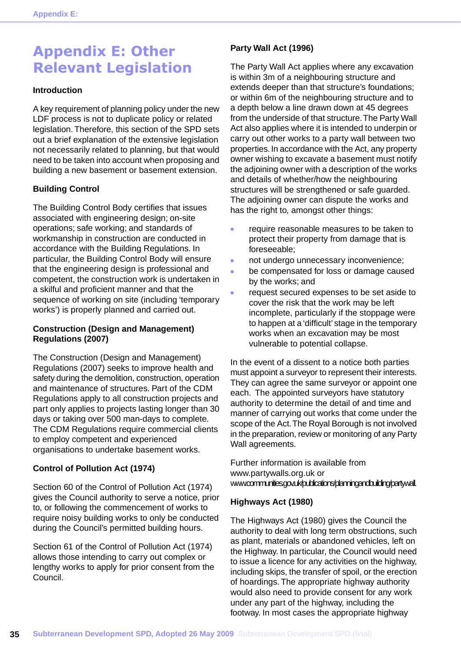## <span id="page-35-0"></span>**Appendix E: Other Relevant Legislation**

#### **Introduction**

A key requirement of planning policy under the new LDF process is not to duplicate policy or related legislation. Therefore, this section of the SPD sets out a brief explanation of the extensive legislation not necessarily related to planning, but that would need to be taken into account when proposing and building a new basement or basement extension.

#### **Building Control**

The Building Control Body certifies that issues associated with engineering design; on-site operations; safe working; and standards of workmanship in construction are conducted in accordance with the Building Regulations. In particular, the Building Control Body will ensure that the engineering design is professional and competent, the construction work is undertaken in a skilful and proficient manner and that the sequence of working on site (including 'temporary works') is properly planned and carried out.

#### **Construction (Design and Management) Regulations (2007)**

The Construction (Design and Management) Regulations (2007) seeks to improve health and safety during the demolition, construction, operation and maintenance of structures. Part of the CDM Regulations apply to all construction projects and part only applies to projects lasting longer than 30 days or taking over 500 man-days to complete. The CDM Regulations require commercial clients to employ competent and experienced organisations to undertake basement works.

#### **Control of Pollution Act (1974)**

Section 60 of the Control of Pollution Act (1974) gives the Council authority to serve a notice, prior to, or following the commencement of works to require noisy building works to only be conducted during the Council's permitted building hours.

Section 61 of the Control of Pollution Act (1974) allows those intending to carry out complex or lengthy works to apply for prior consent from the Council.

#### **Party Wall Act (1996)**

The Party Wall Act applies where any excavation is within 3m of a neighbouring structure and extends deeper than that structure's foundations; or within 6m of the neighbouring structure and to a depth below a line drawn down at 45 degrees from the underside of that structure.The Party Wall Act also applies where it is intended to underpin or carry out other works to a party wall between two properties. In accordance with the Act, any property owner wishing to excavate a basement must notify the adjoining owner with a description of the works and details of whether/how the neighbouring structures will be strengthened or safe guarded. The adjoining owner can dispute the works and has the right to, amongst other things:

- $\bullet$ require reasonable measures to be taken to protect their property from damage that is foreseeable;
- ò not undergo unnecessary inconvenience;
- be compensated for loss or damage caused Ä by the works; and
- request secured expenses to be set aside to cover the risk that the work may be left incomplete, particularly if the stoppage were to happen at a 'difficult' stage in the temporary works when an excavation may be most vulnerable to potential collapse.

In the event of a dissent to a notice both parties must appoint a surveyor to represent their interests. They can agree the same surveyor or appoint one each. The appointed surveyors have statutory authority to determine the detail of and time and manner of carrying out works that come under the scope of the Act.The Royal Borough is not involved in the preparation, review or monitoring of any Party Wall agreements.

Further information is available from www.partywalls.org.uk or www.communities.gov.uk/publications/planningandbuilding/partywall.

#### **Highways Act (1980)**

The Highways Act (1980) gives the Council the authority to deal with long term obstructions, such as plant, materials or abandoned vehicles, left on the Highway. In particular, the Council would need to issue a licence for any activities on the highway, including skips, the transfer of spoil, or the erection of hoardings. The appropriate highway authority would also need to provide consent for any work under any part of the highway, including the footway. In most cases the appropriate highway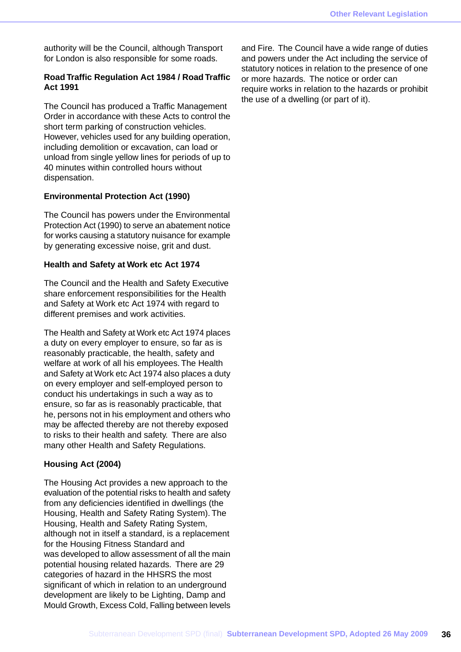authority will be the Council, although Transport for London is also responsible for some roads.

#### **Road Traffic Regulation Act 1984 / Road Traffic Act 1991**

The Council has produced a Traffic Management Order in accordance with these Acts to control the short term parking of construction vehicles. However, vehicles used for any building operation, including demolition or excavation, can load or unload from single yellow lines for periods of up to 40 minutes within controlled hours without dispensation.

#### **Environmental Protection Act (1990)**

The Council has powers under the Environmental Protection Act (1990) to serve an abatement notice for works causing a statutory nuisance for example by generating excessive noise, grit and dust.

#### **Health and Safety at Work etc Act 1974**

The Council and the Health and Safety Executive share enforcement responsibilities for the Health and Safety at Work etc Act 1974 with regard to different premises and work activities.

The Health and Safety at Work etc Act 1974 places a duty on every employer to ensure, so far as is reasonably practicable, the health, safety and welfare at work of all his employees. The Health and Safety at Work etc Act 1974 also places a duty on every employer and self-employed person to conduct his undertakings in such a way as to ensure, so far as is reasonably practicable, that he, persons not in his employment and others who may be affected thereby are not thereby exposed to risks to their health and safety. There are also many other Health and Safety Regulations.

#### **Housing Act (2004)**

The Housing Act provides a new approach to the evaluation of the potential risks to health and safety from any deficiencies identified in dwellings (the Housing, Health and Safety Rating System). The Housing, Health and Safety Rating System, although not in itself a standard, is a replacement for the Housing Fitness Standard and was developed to allow assessment of all the main potential housing related hazards. There are 29 categories of hazard in the HHSRS the most significant of which in relation to an underground development are likely to be Lighting, Damp and Mould Growth, Excess Cold, Falling between levels

and Fire. The Council have a wide range of duties and powers under the Act including the service of statutory notices in relation to the presence of one or more hazards. The notice or order can require works in relation to the hazards or prohibit the use of a dwelling (or part of it).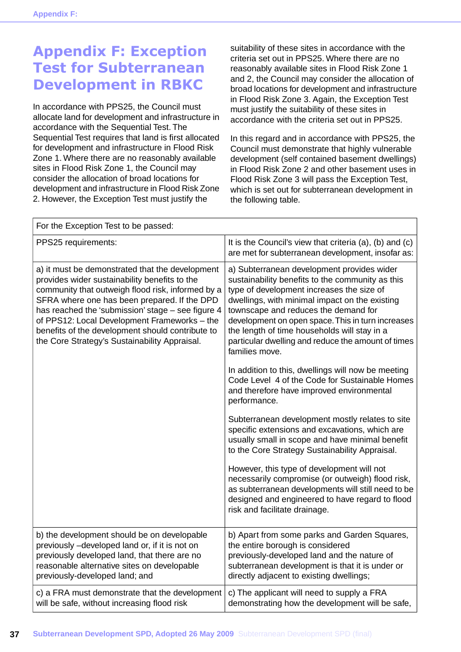## <span id="page-37-0"></span>**Appendix F: Exception Test for Subterranean Development in RBKC**

In accordance with PPS25, the Council must allocate land for development and infrastructure in accordance with the Sequential Test. The Sequential Test requires that land is first allocated for development and infrastructure in Flood Risk Zone 1. Where there are no reasonably available sites in Flood Risk Zone 1, the Council may consider the allocation of broad locations for development and infrastructure in Flood Risk Zone 2. However, the Exception Test must justify the

suitability of these sites in accordance with the criteria set out in PPS25. Where there are no reasonably available sites in Flood Risk Zone 1 and 2, the Council may consider the allocation of broad locations for development and infrastructure in Flood Risk Zone 3. Again, the Exception Test must justify the suitability of these sites in accordance with the criteria set out in PPS25.

In this regard and in accordance with PPS25, the Council must demonstrate that highly vulnerable development (self contained basement dwellings) in Flood Risk Zone 2 and other basement uses in Flood Risk Zone 3 will pass the Exception Test, which is set out for subterranean development in the following table.

| For the Exception Test to be passed:                                                                                                                                                                                                                                                                                                                                                                            |                                                                                                                                                                                                                                                                                                                                                                                                                    |  |  |
|-----------------------------------------------------------------------------------------------------------------------------------------------------------------------------------------------------------------------------------------------------------------------------------------------------------------------------------------------------------------------------------------------------------------|--------------------------------------------------------------------------------------------------------------------------------------------------------------------------------------------------------------------------------------------------------------------------------------------------------------------------------------------------------------------------------------------------------------------|--|--|
| PPS25 requirements:                                                                                                                                                                                                                                                                                                                                                                                             | It is the Council's view that criteria $(a)$ , $(b)$ and $(c)$<br>are met for subterranean development, insofar as:                                                                                                                                                                                                                                                                                                |  |  |
| a) it must be demonstrated that the development<br>provides wider sustainability benefits to the<br>community that outweigh flood risk, informed by a<br>SFRA where one has been prepared. If the DPD<br>has reached the 'submission' stage - see figure 4<br>of PPS12: Local Development Frameworks - the<br>benefits of the development should contribute to<br>the Core Strategy's Sustainability Appraisal. | a) Subterranean development provides wider<br>sustainability benefits to the community as this<br>type of development increases the size of<br>dwellings, with minimal impact on the existing<br>townscape and reduces the demand for<br>development on open space. This in turn increases<br>the length of time households will stay in a<br>particular dwelling and reduce the amount of times<br>families move. |  |  |
|                                                                                                                                                                                                                                                                                                                                                                                                                 | In addition to this, dwellings will now be meeting<br>Code Level 4 of the Code for Sustainable Homes<br>and therefore have improved environmental<br>performance.                                                                                                                                                                                                                                                  |  |  |
|                                                                                                                                                                                                                                                                                                                                                                                                                 | Subterranean development mostly relates to site<br>specific extensions and excavations, which are<br>usually small in scope and have minimal benefit<br>to the Core Strategy Sustainability Appraisal.                                                                                                                                                                                                             |  |  |
|                                                                                                                                                                                                                                                                                                                                                                                                                 | However, this type of development will not<br>necessarily compromise (or outweigh) flood risk,<br>as subterranean developments will still need to be<br>designed and engineered to have regard to flood<br>risk and facilitate drainage.                                                                                                                                                                           |  |  |
| b) the development should be on developable<br>previously -developed land or, if it is not on<br>previously developed land, that there are no<br>reasonable alternative sites on developable<br>previously-developed land; and                                                                                                                                                                                  | b) Apart from some parks and Garden Squares,<br>the entire borough is considered<br>previously-developed land and the nature of<br>subterranean development is that it is under or<br>directly adjacent to existing dwellings;                                                                                                                                                                                     |  |  |
| c) a FRA must demonstrate that the development<br>will be safe, without increasing flood risk                                                                                                                                                                                                                                                                                                                   | c) The applicant will need to supply a FRA<br>demonstrating how the development will be safe,                                                                                                                                                                                                                                                                                                                      |  |  |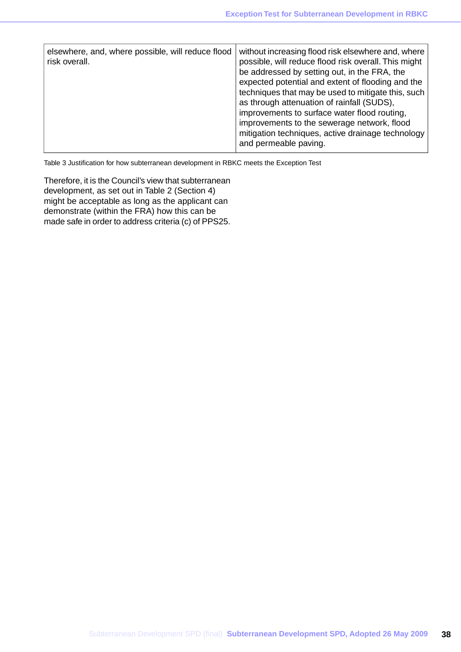| elsewhere, and, where possible, will reduce flood<br>risk overall. | without increasing flood risk elsewhere and, where<br>possible, will reduce flood risk overall. This might<br>be addressed by setting out, in the FRA, the<br>expected potential and extent of flooding and the<br>techniques that may be used to mitigate this, such<br>as through attenuation of rainfall (SUDS),<br>improvements to surface water flood routing,<br>improvements to the sewerage network, flood<br>mitigation techniques, active drainage technology<br>and permeable paving. |
|--------------------------------------------------------------------|--------------------------------------------------------------------------------------------------------------------------------------------------------------------------------------------------------------------------------------------------------------------------------------------------------------------------------------------------------------------------------------------------------------------------------------------------------------------------------------------------|
|--------------------------------------------------------------------|--------------------------------------------------------------------------------------------------------------------------------------------------------------------------------------------------------------------------------------------------------------------------------------------------------------------------------------------------------------------------------------------------------------------------------------------------------------------------------------------------|

Table 3 Justification for how subterranean development in RBKC meets the Exception Test

Therefore, it is the Council's view that subterranean development, as set out in Table 2 (Section 4) might be acceptable as long as the applicant can demonstrate (within the FRA) how this can be made safe in order to address criteria (c) of PPS25.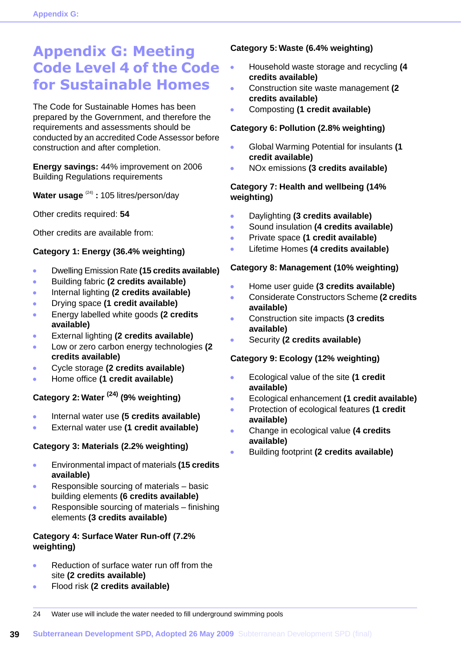## <span id="page-39-0"></span>**Appendix G: Meeting Code Level 4 of the Code for Sustainable Homes**

The Code for Sustainable Homes has been prepared by the Government, and therefore the requirements and assessments should be conducted by an accredited Code Assessor before construction and after completion.

**Energy savings:** 44% improvement on 2006 Building Regulations requirements

**Water usage** (24) **:** 105 litres/person/day

Other credits required: **54**

Other credits are available from:

#### **Category 1: Energy (36.4% weighting)**

- Dwelling Emission Rate **(15 credits available)**  $\bullet$
- Building fabric **(2 credits available)**  $\bullet$
- Internal lighting **(2 credits available)**  $\bullet$
- Drying space **(1 credit available)** ä
- Energy labelled white goods **(2 credits**  $\bullet$ **available)**
- External lighting **(2 credits available)**  $\bullet$
- Low or zero carbon energy technologies **(2**  $\bullet$ **credits available)**
- Cycle storage **(2 credits available)**  $\bullet$
- Home office **(1 credit available)**  $\bullet$

### **Category 2: Water (24) (9% weighting)**

- Internal water use **(5 credits available)**
- External water use **(1 credit available)**  $\bullet$

#### **Category 3: Materials (2.2% weighting)**

- Environmental impact of materials **(15 credits**  $\ddot{\phantom{a}}$ **available)**
- Responsible sourcing of materials basic  $\bullet$ building elements **(6 credits available)**
- Responsible sourcing of materials finishing elements **(3 credits available)**

#### **Category 4: Surface Water Run-off (7.2% weighting)**

- Reduction of surface water run off from the site **(2 credits available)**
- Flood risk **(2 credits available)**

#### **Category 5: Waste (6.4% weighting)**

- Household waste storage and recycling **(4**  $\bullet$ **credits available)**
- $\overline{\phantom{a}}$ Construction site waste management **(2 credits available)**
- $\ddot{\phantom{a}}$ Composting **(1 credit available)**

#### **Category 6: Pollution (2.8% weighting)**

- Global Warming Potential for insulants **(1 credit available)**
- NOx emissions **(3 credits available)**

#### **Category 7: Health and wellbeing (14% weighting)**

- $\bullet$ Daylighting **(3 credits available)**
- Sound insulation **(4 credits available)** ä
- Private space **(1 credit available)**  $\ddot{\phantom{a}}$
- $\bullet$ Lifetime Homes **(4 credits available)**

#### **Category 8: Management (10% weighting)**

- Home user guide **(3 credits available)**
- Considerate Constructors Scheme **(2 credits** Ä **available)**
- Construction site impacts **(3 credits**  $\bullet$ **available)**
- Security **(2 credits available)**  $\bullet$

#### **Category 9: Ecology (12% weighting)**

- Ecological value of the site **(1 credit**  $\bullet$ **available)**
- Ecological enhancement **(1 credit available)**
- Protection of ecological features **(1 credit**  $\bullet$ **available)**
- Change in ecological value **(4 credits available)**
- Building footprint **(2 credits available)**

24 Water use will include the water needed to fill underground swimming pools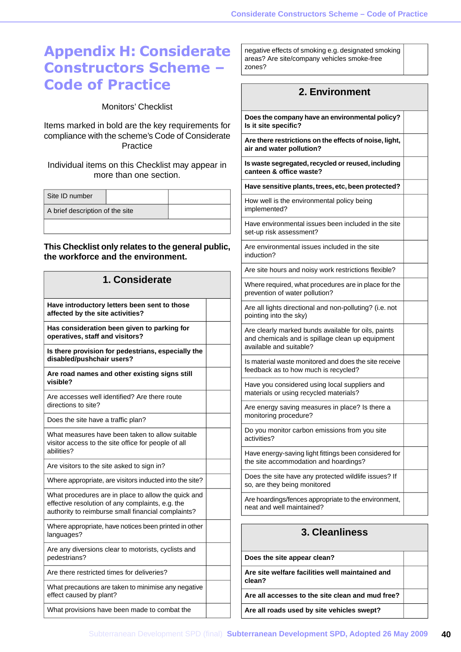## <span id="page-40-0"></span>**Appendix H: Considerate Constructors Scheme – Code of Practice**

Monitors' Checklist

Items marked in bold are the key requirements for compliance with the scheme's Code of Considerate **Practice** 

Individual items on this Checklist may appear in more than one section.

| Site ID number                  |  |  |
|---------------------------------|--|--|
| A brief description of the site |  |  |
|                                 |  |  |

#### **This Checklist only relates to the general public, the workforce and the environment.**

| 1. Considerate                                                                                                                                                |  |
|---------------------------------------------------------------------------------------------------------------------------------------------------------------|--|
| Have introductory letters been sent to those<br>affected by the site activities?                                                                              |  |
| Has consideration been given to parking for<br>operatives, staff and visitors?                                                                                |  |
| Is there provision for pedestrians, especially the<br>disabled/pushchair users?                                                                               |  |
| Are road names and other existing signs still<br>visible?                                                                                                     |  |
| Are accesses well identified? Are there route<br>directions to site?                                                                                          |  |
| Does the site have a traffic plan?                                                                                                                            |  |
| What measures have been taken to allow suitable<br>visitor access to the site office for people of all<br>abilities?                                          |  |
| Are visitors to the site asked to sign in?                                                                                                                    |  |
| Where appropriate, are visitors inducted into the site?                                                                                                       |  |
| What procedures are in place to allow the quick and<br>effective resolution of any complaints, e.g. the<br>authority to reimburse small financial complaints? |  |
| Where appropriate, have notices been printed in other<br>languages?                                                                                           |  |
| Are any diversions clear to motorists, cyclists and<br>pedestrians?                                                                                           |  |
| Are there restricted times for deliveries?                                                                                                                    |  |
| What precautions are taken to minimise any negative<br>effect caused by plant?                                                                                |  |
| What provisions have been made to combat the                                                                                                                  |  |

negative effects of smoking e.g. designated smoking areas? Are site/company vehicles smoke-free zones?

#### **2. Environment**

**Does the company have an environmental policy? Is it site specific?**

**Are there restrictions on the effects of noise, light, air and water pollution?**

**Is waste segregated, recycled or reused, including canteen & office waste?**

**Have sensitive plants, trees, etc, been protected?**

How well is the environmental policy being implemented?

Have environmental issues been included in the site set-up risk assessment?

Are environmental issues included in the site induction?

Are site hours and noisy work restrictions flexible?

Where required, what procedures are in place for the prevention of water pollution?

Are all lights directional and non-polluting? (i.e. not pointing into the sky)

Are clearly marked bunds available for oils, paints and chemicals and is spillage clean up equipment available and suitable?

Is material waste monitored and does the site receive feedback as to how much is recycled?

Have you considered using local suppliers and materials or using recycled materials?

Are energy saving measures in place? Is there a monitoring procedure? Do you monitor carbon emissions from you site activities?

Have energy-saving light fittings been considered for the site accommodation and hoardings?

Does the site have any protected wildlife issues? If so, are they being monitored

Are hoardings/fences appropriate to the environment, neat and well maintained?

#### **3. Cleanliness**

| Does the site appear clean?                               |  |
|-----------------------------------------------------------|--|
| Are site welfare facilities well maintained and<br>clean? |  |
| Are all accesses to the site clean and mud free?          |  |
| Are all roads used by site vehicles swept?                |  |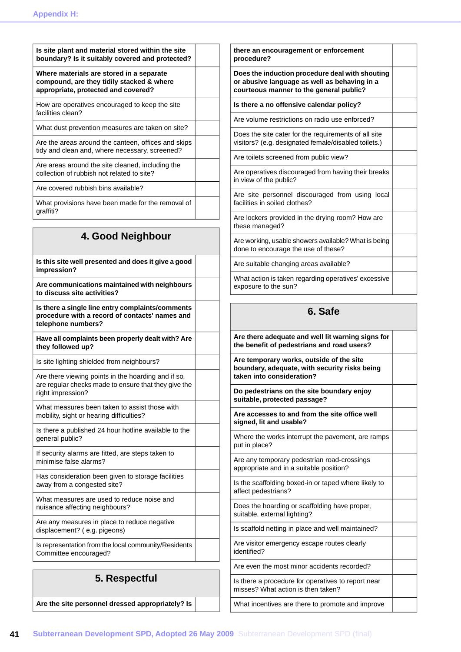| Is site plant and material stored within the site                                                                                |  |
|----------------------------------------------------------------------------------------------------------------------------------|--|
| boundary? Is it suitably covered and protected?                                                                                  |  |
| Where materials are stored in a separate<br>compound, are they tidily stacked & where<br>appropriate, protected and covered?     |  |
| How are operatives encouraged to keep the site<br>facilities clean?                                                              |  |
| What dust prevention measures are taken on site?                                                                                 |  |
| Are the areas around the canteen, offices and skips<br>tidy and clean and, where necessary, screened?                            |  |
| Are areas around the site cleaned, including the<br>collection of rubbish not related to site?                                   |  |
| Are covered rubbish bins available?                                                                                              |  |
| What provisions have been made for the removal of<br>graffiti?                                                                   |  |
| 4. Good Neighbour                                                                                                                |  |
|                                                                                                                                  |  |
| Is this site well presented and does it give a good<br>impression?                                                               |  |
| Are communications maintained with neighbours<br>to discuss site activities?                                                     |  |
| Is there a single line entry complaints/comments<br>procedure with a record of contacts' names and<br>telephone numbers?         |  |
| Have all complaints been properly dealt with? Are<br>they followed up?                                                           |  |
| Is site lighting shielded from neighbours?                                                                                       |  |
| Are there viewing points in the hoarding and if so,<br>are regular checks made to ensure that they give the<br>right impression? |  |
| What measures been taken to assist those with<br>mobility, sight or hearing difficulties?                                        |  |
| Is there a published 24 hour hotline available to the<br>general public?                                                         |  |
| If security alarms are fitted, are steps taken to<br>minimise false alarms?                                                      |  |
| Has consideration been given to storage facilities<br>away from a congested site?                                                |  |
| What measures are used to reduce noise and<br>nuisance affecting neighbours?                                                     |  |
| Are any measures in place to reduce negative<br>displacement? (e.g. pigeons)                                                     |  |
| Is representation from the local community/Residents<br>Committee encouraged?                                                    |  |

## **5. Respectful**

**Are the site personnel dressed appropriately? Is**

| there an encouragement or enforcement<br>procedure?                                                                                        |  |
|--------------------------------------------------------------------------------------------------------------------------------------------|--|
| Does the induction procedure deal with shouting<br>or abusive language as well as behaving in a<br>courteous manner to the general public? |  |
| Is there a no offensive calendar policy?                                                                                                   |  |
| Are volume restrictions on radio use enforced?                                                                                             |  |
| Does the site cater for the requirements of all site<br>visitors? (e.g. designated female/disabled toilets.)                               |  |
| Are toilets screened from public view?                                                                                                     |  |
| Are operatives discouraged from having their breaks<br>in view of the public?                                                              |  |
| Are site personnel discouraged from using local<br>facilities in soiled clothes?                                                           |  |
| Are lockers provided in the drying room? How are<br>these managed?                                                                         |  |
| Are working, usable showers available? What is being<br>done to encourage the use of these?                                                |  |
| Are suitable changing areas available?                                                                                                     |  |
| What action is taken regarding operatives' excessive<br>exposure to the sun?                                                               |  |
|                                                                                                                                            |  |
| 6. Safe                                                                                                                                    |  |
| Are there adequate and well lit warning signs for<br>the benefit of pedestrians and road users?                                            |  |

**Are temporary works, outside of the site boundary, adequate, with security risks being taken into consideration?**

**Do pedestrians on the site boundary enjoy suitable, protected passage?**

**Are accesses to and from the site office well signed, lit and usable?**

Where the works interrupt the pavement, are ramps put in place?

Are any temporary pedestrian road-crossings appropriate and in a suitable position?

Is the scaffolding boxed-in or taped where likely to affect pedestrians?

Does the hoarding or scaffolding have proper, suitable, external lighting?

Is scaffold netting in place and well maintained?

Are visitor emergency escape routes clearly identified? Are even the most minor accidents recorded?

Is there a procedure for operatives to report near misses? What action is then taken?

What incentives are there to promote and improve